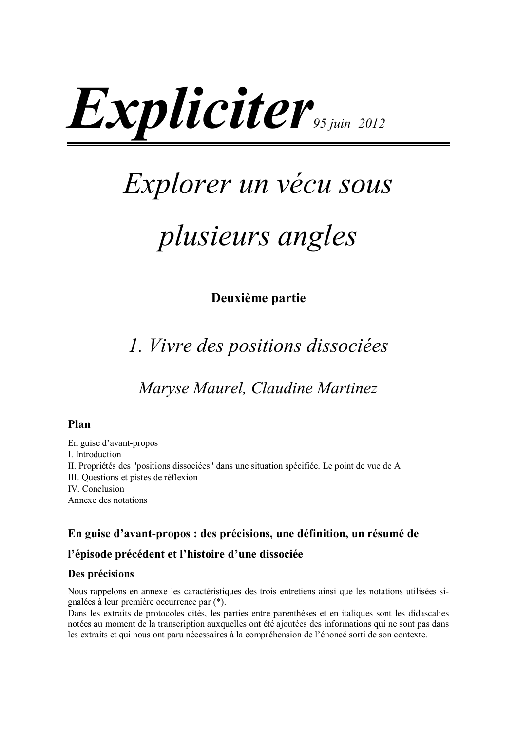# *Expliciter*<sub>95 juin</sub> 2012

## *Explorer un vécu sous*

## plusieurs angles

#### Deuxième partie

### 1. Vivre des positions dissociées

Maryse Maurel, Claudine Martinez

#### Plan

En guise d'avant-propos I. Introduction II. Propriétés des "positions dissociées" dans une situation spécifiée. Le point de vue de A III. Questions et pistes de réflexion IV. Conclusion Annexe des notations

#### En guise d'avant-propos : des précisions, une définition, un résumé de

#### l'épisode précédent et l'histoire d'une dissociée

#### Des précisions

Nous rappelons en annexe les caractéristiques des trois entretiens ainsi que les notations utilisées signalées à leur première occurrence par  $(*)$ .

Dans les extraits de protocoles cités, les parties entre parenthèses et en italiques sont les didascalies notées au moment de la transcription aux quelles ont été ajoutées des informations qui ne sont pas dans les extraits et qui nous ont paru nécessaires à la compréhension de l'énoncé sorti de son contexte.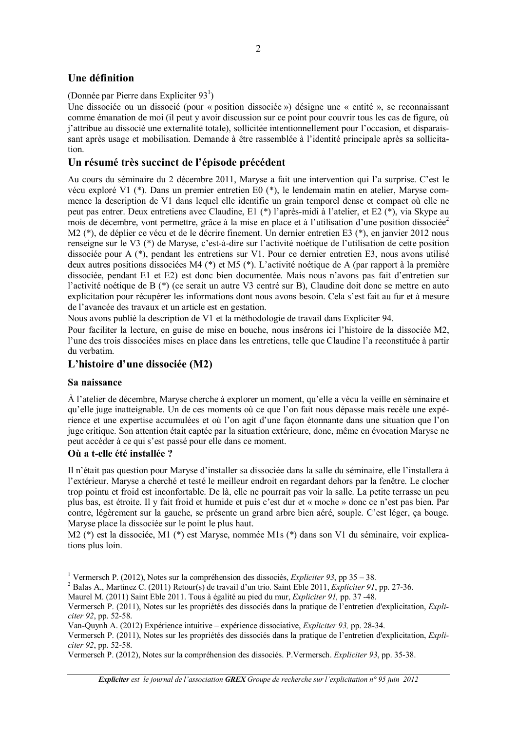#### Une définition

#### (Donnée par Pierre dans Expliciter  $93^1$ )

Une dissociée ou un dissocié (pour « position dissociée ») désigne une « entité », se reconnaissant comme émanation de moi (il peut y avoir discussion sur ce point pour couvrir tous les cas de figure, où j'attribue au dissocié une externalité totale), sollicitée intentionnellement pour l'occasion, et disparaissant après usage et mobilisation. Demande à être rassemblée à l'identité principale après sa sollicitation

#### Un résumé très succinct de l'épisode précédent

Au cours du séminaire du 2 décembre 2011, Maryse a fait une intervention qui l'a surprise. C'est le vécu exploré V1 (\*). Dans un premier entretien E0 (\*), le lendemain matin en atelier, Maryse commence la description de V1 dans lequel elle identifie un grain temporel dense et compact où elle ne peut pas entrer. Deux entretiens avec Claudine, E1 (\*) l'après-midi à l'atelier, et E2 (\*), via Skype au mois de décembre, vont permettre, grâce à la mise en place et à l'utilisation d'une position dissociée<sup>2</sup> M2 (\*), de déplier ce vécu et de le décrire finement. Un dernier entretien E3 (\*), en janvier 2012 nous renseigne sur le V3 (\*) de Maryse, c'est-à-dire sur l'activité noétique de l'utilisation de cette position dissociée pour A (\*), pendant les entretiens sur V1. Pour ce dernier entretien E3, nous avons utilisé deux autres positions dissociées M4 (\*) et M5 (\*). L'activité noétique de A (par rapport à la première dissociée, pendant E1 et E2) est donc bien documentée. Mais nous n'avons pas fait d'entretien sur l'activité noétique de B (\*) (ce serait un autre V3 centré sur B), Claudine doit donc se mettre en auto explicitation pour récupérer les informations dont nous avons besoin. Cela s'est fait au fur et à mesure de l'avancée des travaux et un article est en gestation.

Nous avons publié la description de V1 et la méthodologie de travail dans Expliciter 94.

Pour faciliter la lecture, en guise de mise en bouche, nous insérons ici l'histoire de la dissociée M2, l'une des trois dissociées mises en place dans les entretiens, telle que Claudine l'a reconstituée à partir du verbatim

#### L'histoire d'une dissociée (M2)

#### Sa naissance

À l'atelier de décembre, Maryse cherche à explorer un moment, qu'elle a vécu la veille en séminaire et qu'elle juge inatteignable. Un de ces moments où ce que l'on fait nous dépasse mais recèle une expérience et une expertise accumulées et où l'on agit d'une façon étonnante dans une situation que l'on juge critique. Son attention était captée par la situation extérieure, donc, même en évocation Maryse ne peut accéder à ce qui s'est passé pour elle dans ce moment.

#### Où a t-elle été installée ?

Il n'était pas question pour Maryse d'installer sa dissociée dans la salle du séminaire, elle l'installera à l'extérieur. Maryse a cherché et testé le meilleur endroit en regardant dehors par la fenêtre. Le clocher trop pointu et froid est inconfortable. De là, elle ne pourrait pas voir la salle. La petite terrasse un peu plus bas, est étroite. Il y fait froid et humide et puis c'est dur et « moche » donc ce n'est pas bien. Par contre, légèrement sur la gauche, se présente un grand arbre bien aéré, souple. C'est léger, ça bouge. Maryse place la dissociée sur le point le plus haut.

M2 (\*) est la dissociée, M1 (\*) est Maryse, nommée M1s (\*) dans son V1 du séminaire, voir explications plus loin.

<sup>&</sup>lt;sup>1</sup> Vermersch P. (2012), Notes sur la compréhension des dissociés, *Expliciter 93*, pp 35 – 38.

<sup>&</sup>lt;sup>2</sup> Balas A., Martinez C. (2011) Retour(s) de travail d'un trio. Saint Eble 2011, Expliciter 91, pp. 27-36.

Maurel M. (2011) Saint Eble 2011. Tous à égalité au pied du mur, *Expliciter 91*, pp. 37-48.

Vermersch P. (2011). Notes sur les propriétés des dissociés dans la pratique de l'entretien d'explicitation, Expliciter 92, pp. 52-58.

Van-Quynh A. (2012) Expérience intuitive – expérience dissociative, *Expliciter* 93, pp. 28-34.

Vermersch P. (2011), Notes sur les propriétés des dissociés dans la pratique de l'entretien d'explicitation, Expliciter 92, pp. 52-58.

Vermersch P. (2012), Notes sur la compréhension des dissociés. P. Vermersch. Expliciter 93, pp. 35-38.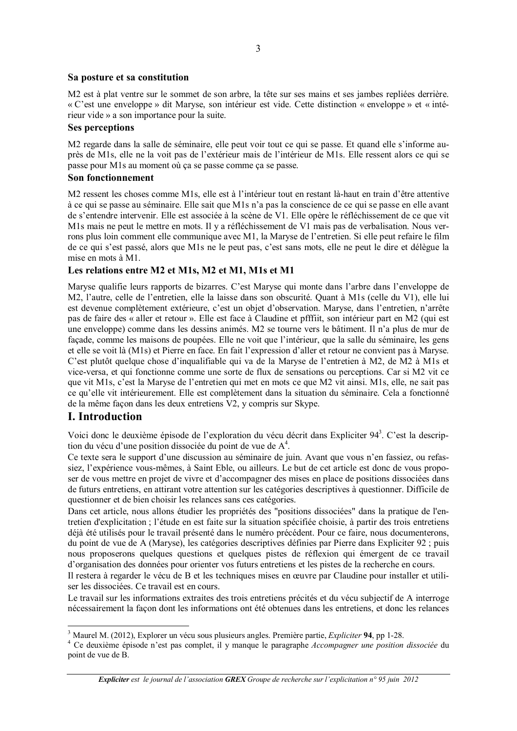#### Sa posture et sa constitution

M2 est à plat ventre sur le sommet de son arbre, la tête sur ses mains et ses jambes repliées derrière. « C'est une enveloppe » dit Maryse, son intérieur est vide. Cette distinction « enveloppe » et « intérieur vide » a son importance pour la suite.

#### **Ses perceptions**

M2 regarde dans la salle de séminaire, elle peut voir tout ce qui se passe. Et quand elle s'informe auprès de M1s, elle ne la voit pas de l'extérieur mais de l'intérieur de M1s. Elle ressent alors ce qui se passe pour M1s au moment où ça se passe comme ça se passe.

#### Son fonctionnement

M2 ressent les choses comme M1s, elle est à l'intérieur tout en restant là-haut en train d'être attentive à ce qui se passe au séminaire. Elle sait que M1s n'a pas la conscience de ce qui se passe en elle avant de s'entendre intervenir. Elle est associée à la scène de V1. Elle opère le réfléchissement de ce que vit M1s mais ne peut le mettre en mots. Il y a réfléchissement de V1 mais pas de verbalisation. Nous verrons plus loin comment elle communique avec M1, la Maryse de l'entretien. Si elle peut refaire le film de ce qui s'est passé, alors que M1s ne le peut pas, c'est sans mots, elle ne peut le dire et délègue la mise en mots à M1.

#### Les relations entre M2 et M1s, M2 et M1, M1s et M1

Maryse qualifie leurs rapports de bizarres. C'est Maryse qui monte dans l'arbre dans l'enveloppe de M2, l'autre, celle de l'entretien, elle la laisse dans son obscurité. Quant à M1s (celle du V1), elle lui est devenue complètement extérieure, c'est un objet d'observation. Maryse, dans l'entretien, n'arrête pas de faire des « aller et retour ». Elle est face à Claudine et pfffiit, son intérieur part en M2 (qui est une enveloppe) comme dans les dessins animés. M2 se tourne vers le bâtiment. Il n'a plus de mur de façade, comme les maisons de poupées. Elle ne voit que l'intérieur, que la salle du séminaire, les gens et elle se voit là (M1s) et Pierre en face. En fait l'expression d'aller et retour ne convient pas à Maryse. C'est plutôt quelque chose d'inqualifiable qui va de la Maryse de l'entretien à M2, de M2 à M1s et vice-versa, et qui fonctionne comme une sorte de flux de sensations ou perceptions. Car si M2 vit ce que vit M1s, c'est la Maryse de l'entretien qui met en mots ce que M2 vit ainsi. M1s, elle, ne sait pas ce qu'elle vit intérieurement. Elle est complètement dans la situation du séminaire. Cela a fonctionné de la même façon dans les deux entretiens V2, y compris sur Skype.

#### **I.** Introduction

Voici donc le deuxième épisode de l'exploration du vécu décrit dans Expliciter 94<sup>3</sup>. C'est la description du vécu d'une position dissociée du point de vue de A<sup>4</sup>.

Ce texte sera le support d'une discussion au séminaire de juin. Avant que vous n'en fassiez, ou refassiez, l'expérience vous-mêmes, à Saint Eble, ou ailleurs. Le but de cet article est donc de vous proposer de vous mettre en projet de vivre et d'accompagner des mises en place de positions dissociées dans de futurs entretiens, en attirant votre attention sur les catégories descriptives à questionner. Difficile de questionner et de bien choisir les relances sans ces catégories.

Dans cet article, nous allons étudier les propriétés des "positions dissociées" dans la pratique de l'entretien d'explicitation ; l'étude en est faite sur la situation spécifiée choisie, à partir des trois entretiens déjà été utilisés pour le travail présenté dans le numéro précédent. Pour ce faire, nous documenterons, du point de vue de A (Maryse), les catégories descriptives définies par Pierre dans Expliciter 92 ; puis nous proposerons quelques questions et quelques pistes de réflexion qui émergent de ce travail d'organisation des données pour orienter vos futurs entretiens et les pistes de la recherche en cours.

Il restera à regarder le vécu de B et les techniques mises en œuvre par Claudine pour installer et utiliser les dissociées. Ce travail est en cours.

Le travail sur les informations extraites des trois entretiens précités et du vécu subjectif de A interroge nécessairement la façon dont les informations ont été obtenues dans les entretiens, et donc les relances

<sup>&</sup>lt;sup>3</sup> Maurel M. (2012), Explorer un vécu sous plusieurs angles. Première partie, Expliciter 94, pp 1-28.

<sup>&</sup>lt;sup>4</sup> Ce deuxième épisode n'est pas complet, il y manque le paragraphe Accompagner une position dissociée du point de vue de B.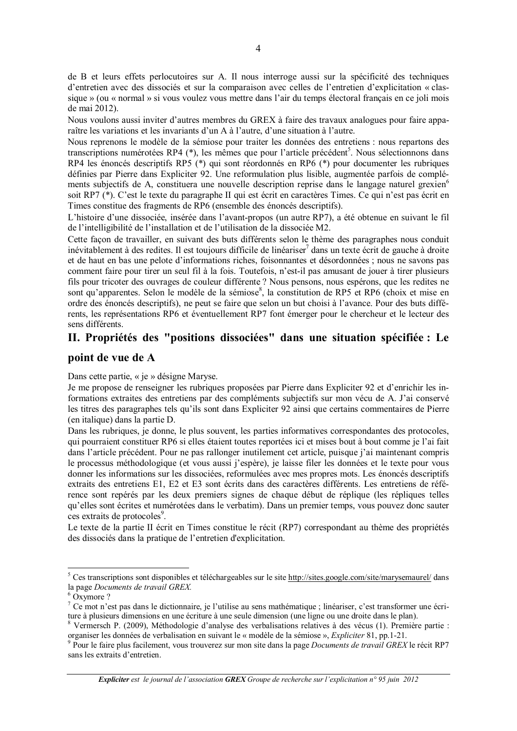de B et leurs effets perlocutoires sur A. Il nous interroge aussi sur la spécificité des techniques d'entretien avec des dissociés et sur la comparaison avec celles de l'entretien d'explicitation « classique » (ou « normal » si vous voulez vous mettre dans l'air du temps électoral français en ce joli mois de mai 2012).

Nous voulons aussi inviter d'autres membres du GREX à faire des travaux analogues pour faire apparaître les variations et les invariants d'un A à l'autre, d'une situation à l'autre.

Nous reprenons le modèle de la sémiose pour traiter les données des entretiens : nous repartons des transcriptions numérotées RP4 (\*), les mêmes que pour l'article précédent<sup>5</sup>. Nous sélectionnons dans RP4 les énoncés descriptifs RP5 (\*) qui sont réordonnés en RP6 (\*) pour documenter les rubriques définies par Pierre dans Expliciter 92. Une reformulation plus lisible, augmentée parfois de compléments subjectifs de A, constituera une nouvelle description reprise dans le langage naturel grexien<sup>6</sup> soit RP7 (\*). C'est le texte du paragraphe II qui est écrit en caractères Times. Ce qui n'est pas écrit en Times constitue des fragments de RP6 (ensemble des énoncés descriptifs).

L'histoire d'une dissociée, insérée dans l'avant-propos (un autre RP7), a été obtenue en suivant le fil de l'intelligibilité de l'installation et de l'utilisation de la dissociée M2.

Cette facon de travailler, en suivant des buts différents selon le thème des paragraphes nous conduit inévitablement à des redites. Il est toujours difficile de linéariser<sup>7</sup> dans un texte écrit de gauche à droite et de haut en bas une pelote d'informations riches, foisonnantes et désordonnées ; nous ne savons pas comment faire pour tirer un seul fil à la fois. Toutefois, n'est-il pas amusant de jouer à tirer plusieurs fils pour tricoter des ouvrages de couleur différente ? Nous pensons, nous espérons, que les redites ne sont qu'apparentes. Selon le modèle de la sémiose<sup>8</sup>, la constitution de RP5 et RP6 (choix et mise en ordre des énoncés descriptifs), ne peut se faire que selon un but choisi à l'avance. Pour des buts différents, les représentations RP6 et éventuellement RP7 font émerger pour le chercheur et le lecteur des sens différents.

#### II. Propriétés des "positions dissociées" dans une situation spécifiée : Le

#### point de vue de A

Dans cette partie, « je » désigne Maryse.

Je me propose de renseigner les rubriques proposées par Pierre dans Expliciter 92 et d'enrichir les informations extraites des entretiens par des compléments subjectifs sur mon vécu de A. J'ai conservé les titres des paragraphes tels qu'ils sont dans Expliciter 92 ainsi que certains commentaires de Pierre (en italique) dans la partie D.

Dans les rubriques, je donne, le plus souvent, les parties informatives correspondantes des protocoles, qui pourraient constituer RP6 si elles étaient toutes reportées ici et mises bout à bout comme je l'ai fait dans l'article précédent. Pour ne pas rallonger inutilement cet article, puisque j'ai maintenant compris le processus méthodologique (et vous aussi j'espère), je laisse filer les données et le texte pour vous donner les informations sur les dissociées, reformulées avec mes propres mots. Les énoncés descriptifs extraits des entretiens E1, E2 et E3 sont écrits dans des caractères différents. Les entretiens de référence sont repérés par les deux premiers signes de chaque début de réplique (les répliques telles qu'elles sont écrites et numérotées dans le verbatim). Dans un premier temps, vous pouvez donc sauter ces extraits de protocoles<sup>9</sup>.

Le texte de la partie II écrit en Times constitue le récit (RP7) correspondant au thème des propriétés des dissociés dans la pratique de l'entretien d'explicitation.

<sup>&</sup>lt;sup>5</sup> Ces transcriptions sont disponibles et téléchargeables sur le site http://sites.google.com/site/marysemaurel/ dans la page Documents de travail GREX.

 $6$  Oxymore ?

<sup>7</sup> Ce mot n'est pas dans le dictionnaire, je l'utilise au sens mathématique ; linéariser, c'est transformer une écriture à plusieurs dimensions en une écriture à une seule dimension (une ligne ou une droite dans le plan).

<sup>&</sup>lt;sup>8</sup> Vermersch P. (2009), Méthodologie d'analyse des verbalisations relatives à des vécus (1). Première partie : organiser les données de verbalisation en suivant le « modèle de la sémiose », *Expliciter* 81, pp.1-21.

<sup>&</sup>lt;sup>9</sup> Pour le faire plus facilement, vous trouverez sur mon site dans la page *Documents de travail GREX* le récit RP7 sans les extraits d'entretien.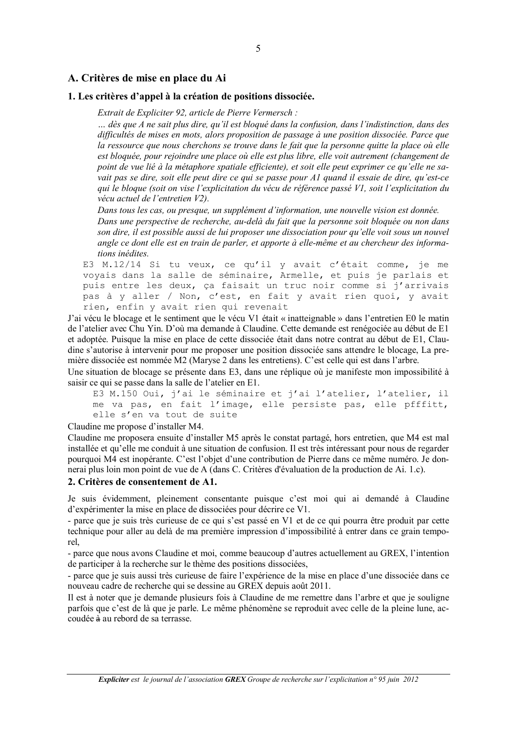#### A. Critères de mise en place du Ai

#### 1. Les critères d'appel à la création de positions dissociée.

Extrait de Expliciter 92, article de Pierre Vermersch :

... dès que A ne sait plus dire, qu'il est bloqué dans la confusion, dans l'indistinction, dans des difficultés de mises en mots, alors proposition de passage à une position dissociée. Parce que la ressource que nous cherchons se trouve dans le fait que la personne quitte la place où elle est bloquée, pour rejoindre une place où elle est plus libre, elle voit autrement (changement de point de vue lié à la métaphore spatiale efficiente), et soit elle peut exprimer ce qu'elle ne savait pas se dire, soit elle peut dire ce qui se passe pour Al quand il essaie de dire, qu'est-ce qui le bloque (soit on vise l'explicitation du vécu de référence passé VI, soit l'explicitation du vécu actuel de l'entretien V2).

Dans tous les cas, ou presque, un supplément d'information, une nouvelle vision est donnée.

Dans une perspective de recherche, au-delà du fait que la personne soit bloquée ou non dans son dire, il est possible aussi de lui proposer une dissociation pour qu'elle voit sous un nouvel angle ce dont elle est en train de parler, et apporte à elle-même et au chercheur des informations inédites.

E3 M.12/14 Si tu veux, ce qu'il y avait c'était comme, je me voyais dans la salle de séminaire, Armelle, et puis je parlais et puis entre les deux, ça faisait un truc noir comme si j'arrivais pas à y aller / Non, c'est, en fait y avait rien quoi, y avait rien, enfin y avait rien qui revenait

J'ai vécu le blocage et le sentiment que le vécu V1 était « inatteignable » dans l'entretien E0 le matin de l'atelier avec Chu Yin. D'où ma demande à Claudine. Cette demande est renégociée au début de E1 et adoptée. Puisque la mise en place de cette dissociée était dans notre contrat au début de E1, Claudine s'autorise à intervenir pour me proposer une position dissociée sans attendre le blocage. La première dissociée est nommée M2 (Maryse 2 dans les entretiens). C'est celle qui est dans l'arbre.

Une situation de blocage se présente dans E3, dans une réplique où je manifeste mon impossibilité à saisir ce qui se passe dans la salle de l'atelier en E1.

```
E3 M.150 Oui, j'ai le séminaire et j'ai l'atelier, l'atelier, il
me va pas, en fait l'image, elle persiste pas, elle pfffitt,
elle s'en va tout de suite
```
Claudine me propose d'installer M4.

Claudine me proposera ensuite d'installer M5 après le constat partagé, hors entretien, que M4 est mal installée et qu'elle me conduit à une situation de confusion. Il est très intéressant pour nous de regarder pourquoi M4 est inopérante. C'est l'objet d'une contribution de Pierre dans ce même numéro. Je donnerai plus loin mon point de vue de A (dans C. Critères d'évaluation de la production de Ai. 1.c).

#### 2. Critères de consentement de A1.

Je suis évidemment, pleinement consentante puisque c'est moi qui ai demandé à Claudine d'expérimenter la mise en place de dissociées pour décrire ce V1.

- parce que je suis très curieuse de ce qui s'est passé en V1 et de ce qui pourra être produit par cette technique pour aller au delà de ma première impression d'impossibilité à entrer dans ce grain temporel.

- parce que nous avons Claudine et moi, comme beaucoup d'autres actuellement au GREX, l'intention de participer à la recherche sur le thème des positions dissociées,

- parce que je suis aussi très curieuse de faire l'expérience de la mise en place d'une dissociée dans ce nouveau cadre de recherche qui se dessine au GREX depuis août 2011.

Il est à noter que je demande plusieurs fois à Claudine de me remettre dans l'arbre et que je souligne parfois que c'est de là que je parle. Le même phénomène se reproduit avec celle de la pleine lune, accoudée à au rebord de sa terrasse.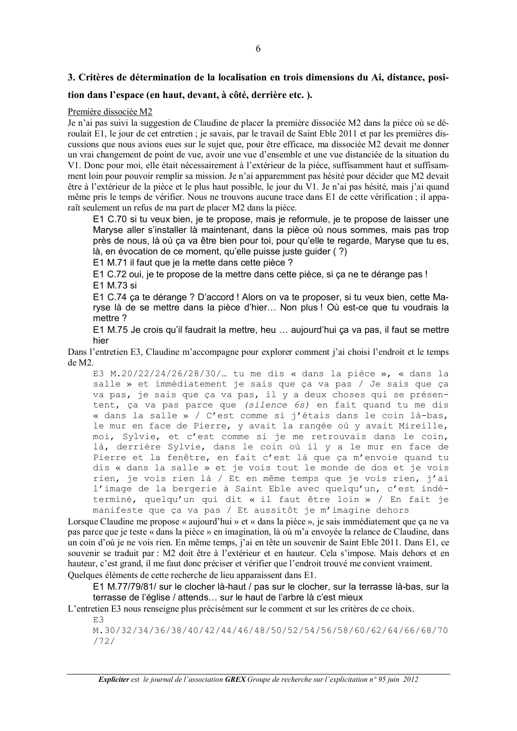#### 3. Critères de détermination de la localisation en trois dimensions du Ai, distance, posi-

#### tion dans l'espace (en haut, devant, à côté, derrière etc.).

#### Première dissociée M2

Je n'ai pas suivi la suggestion de Claudine de placer la première dissociée M2 dans la pièce où se déroulait E1, le jour de cet entretien; je savais, par le travail de Saint Eble 2011 et par les premières discussions que nous avions eues sur le sujet que, pour être efficace, ma dissociée M2 devait me donner un vrai changement de point de vue, avoir une vue d'ensemble et une vue distanciée de la situation du V1. Donc pour moi, elle était nécessairement à l'extérieur de la pièce, suffisamment haut et suffisamment loin pour pouvoir remplir sa mission. Je n'ai apparemment pas hésité pour décider que M2 devait être à l'extérieur de la pièce et le plus haut possible, le jour du V1. Je n'ai pas hésité, mais j'ai quand même pris le temps de vérifier. Nous ne trouvons aucune trace dans E1 de cette vérification : il apparaît seulement un refus de ma part de placer M2 dans la pièce.

E1 C.70 si tu veux bien, je te propose, mais je reformule, je te propose de laisser une Maryse aller s'installer là maintenant, dans la pièce où nous sommes, mais pas trop près de nous, là où ça va être bien pour toi, pour qu'elle te regarde, Maryse que tu es, là, en évocation de ce moment, qu'elle puisse juste guider (?)

E1 M.71 il faut que je la mette dans cette pièce ?

E1 C.72 oui, je te propose de la mettre dans cette pièce, si ca ne te dérange pas ! E1 M.73 si

E1 C.74 ca te dérange ? D'accord ! Alors on va te proposer, si tu veux bien, cette Maryse là de se mettre dans la pièce d'hier... Non plus ! Où est-ce que tu voudrais la mettre?

E1 M.75 Je crois qu'il faudrait la mettre, heu ... aujourd'hui ça va pas, il faut se mettre hier

Dans l'entretien E3, Claudine m'accompagne pour explorer comment j'ai choisi l'endroit et le temps  $de M2.$ 

E3 M.20/22/24/26/28/30/... tu me dis « dans la pièce », « dans la salle » et immédiatement je sais que ca va pas / Je sais que ca va pas, je sais que ça va pas, il y a deux choses qui se présentent, ça va pas parce que (silence 6s) en fait quand tu me dis « dans la salle » / C'est comme si j'étais dans le coin là-bas, le mur en face de Pierre, y avait la rangée où y avait Mireille, moi, Sylvie, et c'est comme si je me retrouvais dans le coin, là, derrière Sylvie, dans le coin où il y a le mur en face de Pierre et la fenêtre, en fait c'est là que ça m'envoie quand tu dis « dans la salle » et je vois tout le monde de dos et je vois rien, je vois rien là / Et en même temps que je vois rien, j'ai l'image de la bergerie à Saint Eble avec quelqu'un, c'est indéterminé, quelqu'un qui dit « il faut être loin » / En fait je manifeste que ça va pas / Et aussitôt je m'imagine dehors

Lorsque Claudine me propose « aujourd'hui » et « dans la pièce », je sais immédiatement que ça ne va pas parce que je teste « dans la pièce » en imagination, là où m'a envoyée la relance de Claudine, dans un coin d'où je ne vois rien. En même temps, j'ai en tête un souvenir de Saint Eble 2011. Dans E1, ce souvenir se traduit par : M2 doit être à l'extérieur et en hauteur. Cela s'impose. Mais dehors et en hauteur, c'est grand, il me faut donc préciser et vérifier que l'endroit trouvé me convient vraiment. Ouelques éléments de cette recherche de lieu apparaissent dans E1.

E1 M.77/79/81/ sur le clocher là-haut / pas sur le clocher, sur la terrasse là-bas, sur la terrasse de l'église / attends... sur le haut de l'arbre là c'est mieux

L'entretien E3 nous renseigne plus précisément sur le comment et sur les critères de ce choix.

 $E.3$ 

M.30/32/34/36/38/40/42/44/46/48/50/52/54/56/58/60/62/64/66/68/70  $/72/$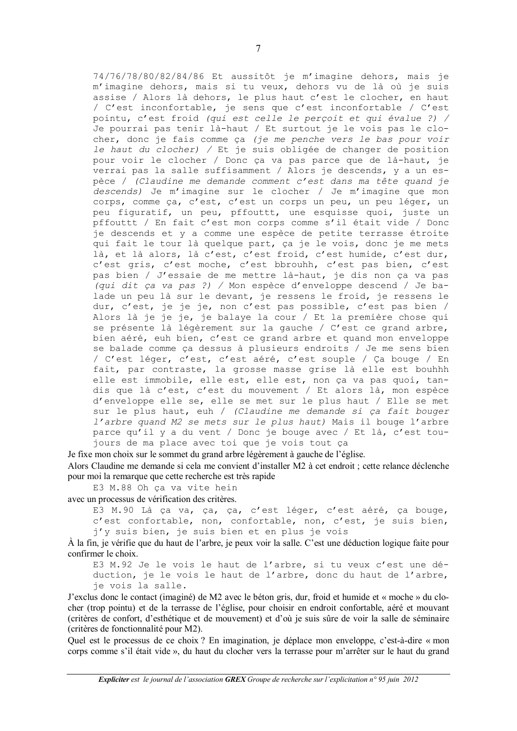74/76/78/80/82/84/86 Et aussitôt je m'imagine dehors, mais je m'imagine dehors, mais si tu veux, dehors vu de là où je suis assise / Alors là dehors, le plus haut c'est le clocher, en haut / C'est inconfortable, je sens que c'est inconfortable / C'est pointu, c'est froid (qui est celle le perçoit et qui évalue ?) / Je pourrai pas tenir là-haut / Et surtout je le vois pas le clocher, donc je fais comme ca (je me penche vers le bas pour voir le haut du clocher) / Et je suis obligée de changer de position pour voir le clocher / Donc ça va pas parce que de là-haut, je verrai pas la salle suffisamment / Alors je descends, y a un espèce / (Claudine me demande comment c'est dans ma tête quand je descends) Je m'imagine sur le clocher / Je m'imagine que mon corps, comme ca, c'est, c'est un corps un peu, un peu léger, un peu figuratif, un peu, pffouttt, une esquisse quoi, juste un pffouttt / En fait c'est mon corps comme s'il était vide / Donc je descends et y a comme une espèce de petite terrasse étroite qui fait le tour là quelque part, ça je le vois, donc je me mets là, et là alors, là c'est, c'est froid, c'est humide, c'est dur, c'est gris, c'est moche, c'est bbrouhh, c'est pas bien, c'est pas bien / J'essaie de me mettre là-haut, je dis non ça va pas (qui dit ça va pas ?) / Mon espèce d'enveloppe descend / Je balade un peu là sur le devant, je ressens le froid, je ressens le dur, c'est, je je je, non c'est pas possible, c'est pas bien / Alors là je je je, je balaye la cour / Et la première chose qui se présente là légèrement sur la gauche / C'est ce grand arbre, bien aéré, euh bien, c'est ce grand arbre et quand mon enveloppe se balade comme ça dessus à plusieurs endroits / Je me sens bien / C'est léger, c'est, c'est aéré, c'est souple / Ça bouge / En fait, par contraste, la grosse masse grise là elle est bouhhh elle est immobile, elle est, elle est, non ça va pas quoi, tandis que là c'est, c'est du mouvement / Et alors là, mon espèce d'enveloppe elle se, elle se met sur le plus haut / Elle se met sur le plus haut, euh / (Claudine me demande si ça fait bouger l'arbre quand M2 se mets sur le plus haut) Mais il bouqe l'arbre parce qu'il y a du vent / Donc je bouge avec / Et là, c'est toujours de ma place avec toi que je vois tout ça

Je fixe mon choix sur le sommet du grand arbre légèrement à gauche de l'église. Alors Claudine me demande si cela me convient d'installer M2 à cet endroit ; cette relance déclenche pour moi la remarque que cette recherche est très rapide

E3 M.88 Oh ça va vite hein

avec un processus de vérification des critères.

E3 M.90 Là ça va, ça, ça, c'est léger, c'est aéré, ça bouge, c'est confortable, non, confortable, non, c'est, je suis bien, j'y suis bien, je suis bien et en plus je vois

A la fin, je vérifie que du haut de l'arbre, je peux voir la salle. C'est une déduction logique faite pour confirmer le choix.

E3 M.92 Je le vois le haut de l'arbre, si tu veux c'est une déduction, je le vois le haut de l'arbre, donc du haut de l'arbre, je vois la salle.

J'exclus donc le contact (imaginé) de M2 avec le béton gris, dur, froid et humide et « moche » du clocher (trop pointu) et de la terrasse de l'église, pour choisir en endroit confortable, aéré et mouvant (critères de confort, d'esthétique et de mouvement) et d'où je suis sûre de voir la salle de séminaire (critères de fonctionnalité pour M2).

Quel est le processus de ce choix ? En imagination, je déplace mon enveloppe, c'est-à-dire « mon corps comme s'il était vide », du haut du clocher vers la terrasse pour m'arrêter sur le haut du grand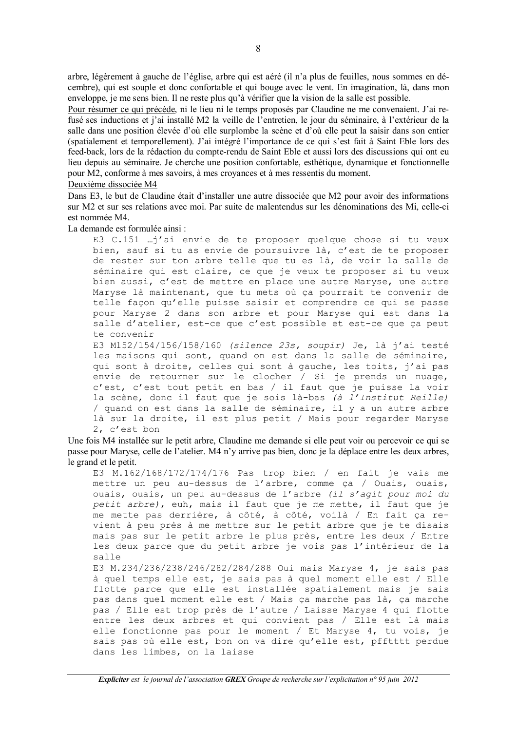arbre, légèrement à gauche de l'église, arbre qui est aéré (il n'a plus de feuilles, nous sommes en décembre), qui est souple et donc confortable et qui bouge avec le vent. En imagination, là, dans mon enveloppe, je me sens bien. Il ne reste plus qu'à vérifier que la vision de la salle est possible.

Pour résumer ce qui précède, ni le lieu ni le temps proposés par Claudine ne me convenaient. J'ai refusé ses inductions et j'ai installé M2 la veille de l'entretien, le jour du séminaire, à l'extérieur de la salle dans une position élevée d'où elle surplombe la scène et d'où elle peut la saisir dans son entier (spatialement et temporellement). J'ai intégré l'importance de ce qui s'est fait à Saint Eble lors des feed-back, lors de la rédaction du compte-rendu de Saint Eble et aussi lors des discussions qui ont eu lieu depuis au séminaire. Je cherche une position confortable, esthétique, dynamique et fonctionnelle pour M2, conforme à mes savoirs, à mes croyances et à mes ressentis du moment.

#### Deuxième dissociée M4

Dans E3, le but de Claudine était d'installer une autre dissociée que M2 pour avoir des informations sur M2 et sur ses relations avec moi. Par suite de malentendus sur les dénominations des Mi, celle-ci est nommée M4

La demande est formulée ainsi :

E3 C.151 ...j'ai envie de te proposer quelque chose si tu veux bien, sauf si tu as envie de poursuivre là, c'est de te proposer de rester sur ton arbre telle que tu es là, de voir la salle de séminaire qui est claire, ce que je veux te proposer si tu veux bien aussi, c'est de mettre en place une autre Maryse, une autre Maryse là maintenant, que tu mets où ca pourrait te convenir de telle façon qu'elle puisse saisir et comprendre ce qui se passe pour Maryse 2 dans son arbre et pour Maryse qui est dans la salle d'atelier, est-ce que c'est possible et est-ce que ca peut te convenir

E3 M152/154/156/158/160 (silence 23s, soupir) Je, là j'ai testé les maisons qui sont, quand on est dans la salle de séminaire, qui sont à droite, celles qui sont à gauche, les toits, j'ai pas envie de retourner sur le clocher / Si je prends un nuage, c'est, c'est tout petit en bas / il faut que je puisse la voir la scène, donc il faut que je sois là-bas (à l'Institut Reille) / quand on est dans la salle de séminaire, il y a un autre arbre là sur la droite, il est plus petit / Mais pour regarder Maryse 2, c'est bon

Une fois M4 installée sur le petit arbre, Claudine me demande si elle peut voir ou percevoir ce qui se passe pour Maryse, celle de l'atelier. M4 n'y arrive pas bien, donc je la déplace entre les deux arbres, le grand et le petit.

E3 M.162/168/172/174/176 Pas trop bien / en fait je vais me mettre un peu au-dessus de l'arbre, comme ça / Ouais, ouais, ouais, ouais, un peu au-dessus de l'arbre (il s'agit pour moi du petit arbre), euh, mais il faut que je me mette, il faut que je me mette pas derrière, à côté, à côté, voilà / En fait ça revient à peu près à me mettre sur le petit arbre que je te disais mais pas sur le petit arbre le plus près, entre les deux / Entre les deux parce que du petit arbre je vois pas l'intérieur de la salle

E3 M.234/236/238/246/282/284/288 Oui mais Maryse 4, je sais pas à quel temps elle est, je sais pas à quel moment elle est / Elle flotte parce que elle est installée spatialement mais je sais pas dans quel moment elle est / Mais ça marche pas là, ça marche pas / Elle est trop près de l'autre / Laisse Maryse 4 qui flotte entre les deux arbres et qui convient pas / Elle est là mais elle fonctionne pas pour le moment / Et Maryse 4, tu vois, je sais pas où elle est, bon on va dire qu'elle est, pfftttt perdue dans les limbes, on la laisse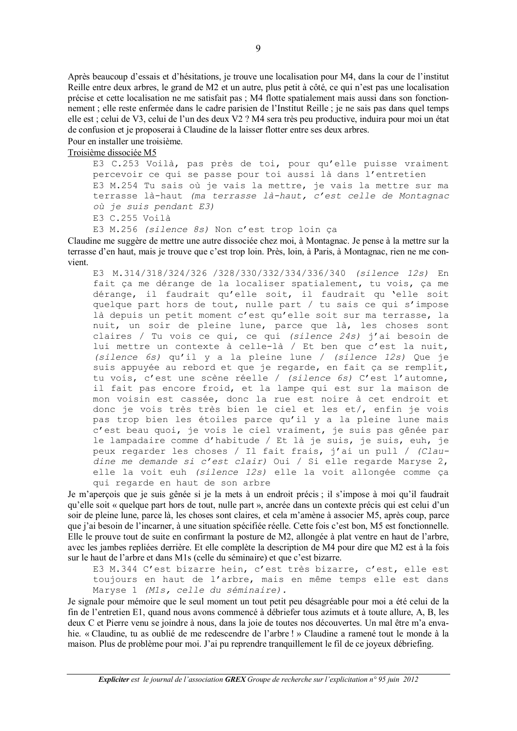Après beaucoup d'essais et d'hésitations, je trouve une localisation pour M4, dans la cour de l'institut Reille entre deux arbres, le grand de M2 et un autre, plus petit à côté, ce qui n'est pas une localisation précise et cette localisation ne me satisfait pas ; M4 flotte spatialement mais aussi dans son fonctionnement; elle reste enfermée dans le cadre parisien de l'Institut Reille; je ne sais pas dans quel temps elle est ; celui de V3, celui de l'un des deux V2 ? M4 sera très peu productive, induira pour moi un état de confusion et je proposerai à Claudine de la laisser flotter entre ses deux arbres.

#### Pour en installer une troisième.

Troisième dissociée M5

E3 C.253 Voilà, pas près de toi, pour qu'elle puisse vraiment percevoir ce qui se passe pour toi aussi là dans l'entretien E3 M.254 Tu sais où je vais la mettre, je vais la mettre sur ma terrasse là-haut (ma terrasse là-haut, c'est celle de Montagnac où je suis pendant E3)

E3 C.255 Voilà

E3 M.256 (silence 8s) Non c'est trop loin ça

Claudine me suggère de mettre une autre dissociée chez moi, à Montagnac. Je pense à la mettre sur la terrasse d'en haut, mais je trouve que c'est trop loin. Près, loin, à Paris, à Montagnac, rien ne me convient

E3 M.314/318/324/326 /328/330/332/334/336/340 (silence 12s) En fait ça me dérange de la localiser spatialement, tu vois, ça me dérange, il faudrait qu'elle soit, il faudrait qu 'elle soit quelque part hors de tout, nulle part / tu sais ce qui s'impose là depuis un petit moment c'est qu'elle soit sur ma terrasse, la nuit, un soir de pleine lune, parce que là, les choses sont claires / Tu vois ce qui, ce qui (silence 24s) j'ai besoin de lui mettre un contexte à celle-là / Et ben que c'est la nuit, (silence 6s) qu'il y a la pleine lune / (silence 12s) Que je suis appuyée au rebord et que je regarde, en fait ça se remplit, tu vois, c'est une scène réelle / (silence 6s) C'est l'automne, il fait pas encore froid, et la lampe qui est sur la maison de mon voisin est cassée, donc la rue est noire à cet endroit et donc je vois très très bien le ciel et les et/, enfin je vois pas trop bien les étoiles parce qu'il y a la pleine lune mais c'est beau quoi, je vois le ciel vraiment, je suis pas gênée par le lampadaire comme d'habitude / Et là je suis, je suis, euh, je peux regarder les choses / Il fait frais, j'ai un pull / (Claudine me demande si c'est clair) Oui / Si elle regarde Maryse 2, elle la voit euh (silence 12s) elle la voit allongée comme ca qui regarde en haut de son arbre

Je m'apercois que je suis gênée si je la mets à un endroit précis ; il s'impose à moi qu'il faudrait qu'elle soit « quelque part hors de tout, nulle part », ancrée dans un contexte précis qui est celui d'un soir de pleine lune, parce là, les choses sont claires, et cela m'amène à associer M5, après coup, parce que j'ai besoin de l'incarner, à une situation spécifiée réelle. Cette fois c'est bon, M5 est fonctionnelle. Elle le prouve tout de suite en confirmant la posture de M2, allongée à plat ventre en haut de l'arbre, avec les jambes repliées derrière. Et elle complète la description de M4 pour dire que M2 est à la fois sur le haut de l'arbre et dans M1s (celle du séminaire) et que c'est bizarre.

E3 M.344 C'est bizarre hein, c'est très bizarre, c'est, elle est toujours en haut de l'arbre, mais en même temps elle est dans Maryse 1 (M1s, celle du séminaire).

Je signale pour mémoire que le seul moment un tout petit peu désagréable pour moi a été celui de la fin de l'entretien E1, quand nous avons commencé à débriefer tous azimuts et à toute allure, A, B, les deux C et Pierre venu se joindre à nous, dans la joie de toutes nos découvertes. Un mal être m'a envahie. « Claudine, tu as oublié de me redescendre de l'arbre ! » Claudine a ramené tout le monde à la maison. Plus de problème pour moi. J'ai pu reprendre tranquillement le fil de ce joyeux débriefing.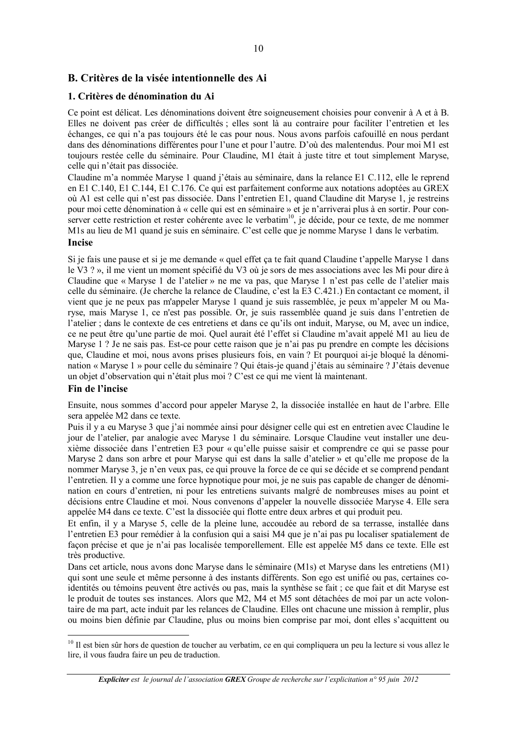#### B. Critères de la visée intentionnelle des Ai

#### 1. Critères de dénomination du Ai

Ce point est délicat. Les dénominations doivent être soigneusement choisies pour convenir à A et à B. Elles ne doivent pas créer de difficultés ; elles sont là au contraire pour faciliter l'entretien et les échanges, ce qui n'a pas toujours été le cas pour nous. Nous avons parfois cafouillé en nous perdant dans des dénominations différentes pour l'une et pour l'autre. D'où des malentendus. Pour moi M1 est toujours restée celle du séminaire. Pour Claudine, M1 était à juste titre et tout simplement Maryse, celle qui n'était pas dissociée.

Claudine m'a nommée Maryse 1 quand j'étais au séminaire, dans la relance E1 C.112, elle le reprend en E1 C.140, E1 C.144, E1 C.176. Ce qui est parfaitement conforme aux notations adoptées au GREX où A1 est celle qui n'est pas dissociée. Dans l'entretien E1, quand Claudine dit Maryse 1, je restreins pour moi cette dénomination à « celle qui est en séminaire » et je n'arriverai plus à en sortir. Pour conserver cette restriction et rester cohérente avec le verbatim<sup>10</sup>, je décide, pour ce texte, de me nommer M1s au lieu de M1 quand je suis en séminaire. C'est celle que je nomme Maryse 1 dans le verbatim.

#### **Incise**

Si je fais une pause et si je me demande « quel effet ça te fait quand Claudine t'appelle Maryse 1 dans le V3 ? », il me vient un moment spécifié du V3 où je sors de mes associations avec les Mi pour dire à Claudine que « Maryse 1 de l'atelier » ne me va pas, que Maryse 1 n'est pas celle de l'atelier mais celle du séminaire. (Je cherche la relance de Claudine, c'est la E3 C.421.) En contactant ce moment, il vient que je ne peux pas m'appeler Maryse 1 quand je suis rassemblée, je peux m'appeler M ou Maryse, mais Maryse 1, ce n'est pas possible. Or, je suis rassemblée quand je suis dans l'entretien de l'atelier ; dans le contexte de ces entretiens et dans ce qu'ils ont induit, Maryse, ou M, avec un indice, ce ne peut être qu'une partie de moi. Quel aurait été l'effet si Claudine m'avait appelé M1 au lieu de Maryse 1 ? Je ne sais pas. Est-ce pour cette raison que je n'ai pas pu prendre en compte les décisions que, Claudine et moi, nous avons prises plusieurs fois, en vain? Et pourquoi ai-je bloqué la dénomination « Maryse 1 » pour celle du séminaire ? Qui étais-je quand j'étais au séminaire ? J'étais devenue un objet d'observation qui n'était plus moi ? C'est ce qui me vient là maintenant.

#### Fin de l'incise

Ensuite, nous sommes d'accord pour appeler Maryse 2, la dissociée installée en haut de l'arbre. Elle sera appelée M2 dans ce texte.

Puis il y a eu Maryse 3 que j'ai nommée ainsi pour désigner celle qui est en entretien avec Claudine le jour de l'atelier, par analogie avec Maryse 1 du séminaire. Lorsque Claudine veut installer une deuxième dissociée dans l'entretien E3 pour « qu'elle puisse saisir et comprendre ce qui se passe pour Maryse 2 dans son arbre et pour Maryse qui est dans la salle d'atelier » et qu'elle me propose de la nommer Maryse 3, je n'en veux pas, ce qui prouve la force de ce qui se décide et se comprend pendant l'entretien. Il y a comme une force hypnotique pour moi, je ne suis pas capable de changer de dénomination en cours d'entretien, ni pour les entretiens suivants malgré de nombreuses mises au point et décisions entre Claudine et moi. Nous convenons d'appeler la nouvelle dissociée Maryse 4. Elle sera appelée M4 dans ce texte. C'est la dissociée qui flotte entre deux arbres et qui produit peu.

Et enfin, il y a Maryse 5, celle de la pleine lune, accoudée au rebord de sa terrasse, installée dans l'entretien E3 pour remédier à la confusion qui a saisi M4 que je n'ai pas pu localiser spatialement de façon précise et que je n'ai pas localisée temporellement. Elle est appelée M5 dans ce texte. Elle est très productive.

Dans cet article, nous avons donc Maryse dans le séminaire (M1s) et Maryse dans les entretiens (M1) qui sont une seule et même personne à des instants différents. Son ego est unifié ou pas, certaines coidentités ou témoins peuvent être activés ou pas, mais la synthèse se fait ; ce que fait et dit Maryse est le produit de toutes ses instances. Alors que M2, M4 et M5 sont détachées de moi par un acte volontaire de ma part, acte induit par les relances de Claudine. Elles ont chacune une mission à remplir, plus ou moins bien définie par Claudine, plus ou moins bien comprise par moi, dont elles s'acquittent ou

<sup>&</sup>lt;sup>10</sup> Il est bien sûr hors de question de toucher au verbatim, ce en qui compliquera un peu la lecture si vous allez le lire, il vous faudra faire un peu de traduction.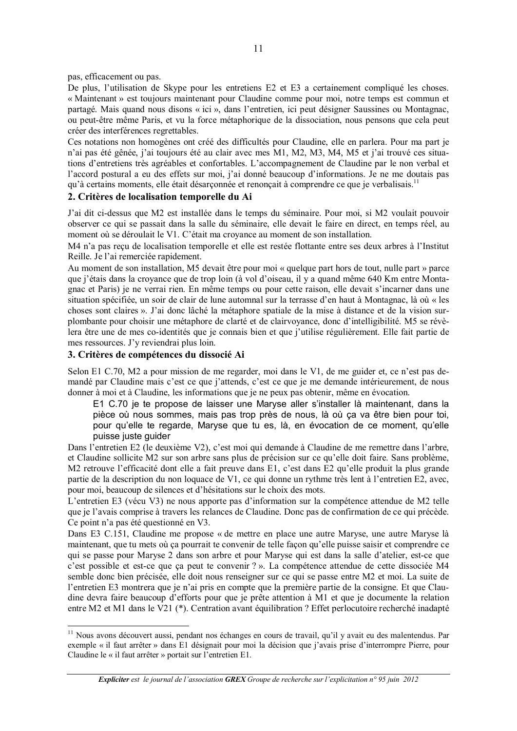pas, efficacement ou pas.

De plus, l'utilisation de Skype pour les entretiens E2 et E3 a certainement compliqué les choses. « Maintenant » est toujours maintenant pour Claudine comme pour moi, notre temps est commun et partagé. Mais quand nous disons « ici », dans l'entretien, ici peut désigner Saussines ou Montagnac, ou peut-être même Paris, et vu la force métaphorique de la dissociation, nous pensons que cela peut créer des interférences regrettables.

Ces notations non homogènes ont créé des difficultés pour Claudine, elle en parlera. Pour ma part je n'ai pas été gênée, j'ai toujours été au clair avec mes M1, M2, M3, M4, M5 et j'ai trouvé ces situations d'entretiens très agréables et confortables. L'accompagnement de Claudine par le non verbal et l'accord postural a eu des effets sur moi, j'ai donné beaucoup d'informations. Je ne me doutais pas qu'à certains moments, elle était désarçonnée et renonçait à comprendre ce que je verbalisais.<sup>11</sup>

#### 2. Critères de localisation temporelle du Ai

J'ai dit ci-dessus que M2 est installée dans le temps du séminaire. Pour moi, si M2 voulait pouvoir observer ce qui se passait dans la salle du séminaire, elle devait le faire en direct, en temps réel, au moment où se déroulait le V1. C'était ma croyance au moment de son installation.

M4 n'a pas recu de localisation temporelle et elle est restée flottante entre ses deux arbres à l'Institut Reille. Je l'ai remerciée rapidement.

Au moment de son installation, M5 devait être pour moi « quelque part hors de tout, nulle part » parce que j'étais dans la croyance que de trop loin (à vol d'oiseau, il y a quand même 640 Km entre Montagnac et Paris) je ne verrai rien. En même temps ou pour cette raison, elle devait s'incarner dans une situation spécifiée, un soir de clair de lune automnal sur la terrasse d'en haut à Montagnac, là où « les choses sont claires ». J'ai donc lâché la métaphore spatiale de la mise à distance et de la vision surplombante pour choisir une métaphore de clarté et de clairvoyance, donc d'intelligibilité. M5 se révèlera être une de mes co-identités que je connais bien et que j'utilise régulièrement. Elle fait partie de mes ressources. J'y reviendrai plus loin.

#### 3. Critères de compétences du dissocié Ai

Selon E1 C.70, M2 a pour mission de me regarder, moi dans le V1, de me guider et, ce n'est pas demandé par Claudine mais c'est ce que j'attends, c'est ce que je me demande intérieurement, de nous donner à moi et à Claudine, les informations que je ne peux pas obtenir, même en évocation.

E1 C.70 je te propose de laisser une Maryse aller s'installer là maintenant, dans la pièce où nous sommes, mais pas trop près de nous, là où ca va être bien pour toi, pour qu'elle te regarde, Maryse que tu es, là, en évocation de ce moment, qu'elle puisse juste guider

Dans l'entretien E2 (le deuxième V2), c'est moi qui demande à Claudine de me remettre dans l'arbre, et Claudine sollicite M2 sur son arbre sans plus de précision sur ce qu'elle doit faire. Sans problème, M2 retrouve l'efficacité dont elle a fait preuve dans E1, c'est dans E2 qu'elle produit la plus grande partie de la description du non loquace de V1, ce qui donne un rythme très lent à l'entretien E2, avec, pour moi, beaucoup de silences et d'hésitations sur le choix des mots.

L'entretien E3 (vécu V3) ne nous apporte pas d'information sur la compétence attendue de M2 telle que je l'avais comprise à travers les relances de Claudine. Donc pas de confirmation de ce qui précède. Ce point n'a pas été questionné en V3.

Dans E3 C.151, Claudine me propose « de mettre en place une autre Maryse, une autre Maryse là maintenant, que tu mets où ca pourrait te convenir de telle façon qu'elle puisse saisir et comprendre ce qui se passe pour Maryse 2 dans son arbre et pour Maryse qui est dans la salle d'atelier, est-ce que c'est possible et est-ce que ça peut te convenir ? ». La compétence attendue de cette dissociée M4 semble donc bien précisée, elle doit nous renseigner sur ce qui se passe entre M2 et moi. La suite de l'entretien E3 montrera que je n'ai pris en compte que la première partie de la consigne. Et que Claudine devra faire beaucoup d'efforts pour que je prête attention à M1 et que je documente la relation entre M2 et M1 dans le V21 (\*). Centration avant équilibration ? Effet per locutoire recherché inadapté

<sup>&</sup>lt;sup>11</sup> Nous avons découvert aussi, pendant nos échanges en cours de travail, qu'il y avait eu des malentendus. Par exemple « il faut arrêter » dans E1 désignait pour moi la décision que j'avais prise d'interrompre Pierre, pour Claudine le « il faut arrêter » portait sur l'entretien E1.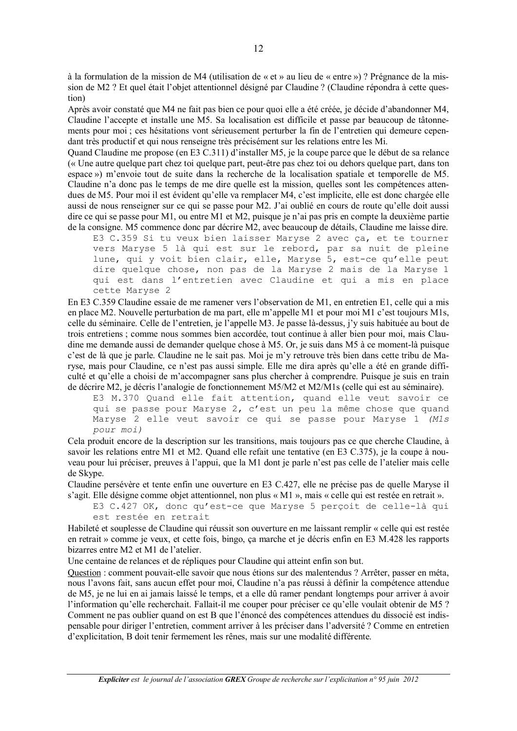à la formulation de la mission de M4 (utilisation de « et » au lieu de « entre ») ? Prégnance de la mission de M2 ? Et quel était l'objet attentionnel désigné par Claudine ? (Claudine répondra à cette question)

Après avoir constaté que M4 ne fait pas bien ce pour quoi elle a été créée, je décide d'abandonner M4, Claudine l'accepte et installe une M5. Sa localisation est difficile et passe par beaucoup de tâtonnements pour moi ; ces hésitations vont sérieusement perturber la fin de l'entretien qui demeure cependant très productif et qui nous renseigne très précisément sur les relations entre les Mi.

Ouand Claudine me propose (en E3 C.311) d'installer M5, je la coupe parce que le début de sa relance (« Une autre quelque part chez toi quelque part, peut-être pas chez toi ou dehors quelque part, dans ton espace ») m'envoie tout de suite dans la recherche de la localisation spatiale et temporelle de M5. Claudine n'a donc pas le temps de me dire quelle est la mission, quelles sont les compétences attendues de M5. Pour moi il est évident qu'elle va remplacer M4, c'est implicite, elle est donc chargée elle aussi de nous renseigner sur ce qui se passe pour M2. J'ai oublié en cours de route qu'elle doit aussi dire ce qui se passe pour M1, ou entre M1 et M2, puisque je n'ai pas pris en compte la deuxième partie de la consigne. M5 commence donc par décrire M2, avec beaucoup de détails, Claudine me laisse dire.

E3 C.359 Si tu veux bien laisser Maryse 2 avec ça, et te tourner vers Maryse 5 là qui est sur le rebord, par sa nuit de pleine lune, qui y voit bien clair, elle, Maryse 5, est-ce qu'elle peut dire quelque chose, non pas de la Maryse 2 mais de la Maryse 1 qui est dans l'entretien avec Claudine et qui a mis en place cette Maryse 2

En E3 C.359 Claudine essaie de me ramener vers l'observation de M1, en entretien E1, celle qui a mis en place M2. Nouvelle perturbation de ma part, elle m'appelle M1 et pour moi M1 c'est toujours M1s, celle du séminaire. Celle de l'entretien, je l'appelle M3. Je passe là-dessus, j'y suis habituée au bout de trois entretiens ; comme nous sommes bien accordée, tout continue à aller bien pour moi, mais Claudine me demande aussi de demander quelque chose à M5. Or, je suis dans M5 à ce moment-là puisque c'est de là que je parle. Claudine ne le sait pas. Moi je m'y retrouve très bien dans cette tribu de Maryse, mais pour Claudine, ce n'est pas aussi simple. Elle me dira après qu'elle a été en grande difficulté et qu'elle a choisi de m'accompagner sans plus chercher à comprendre. Puisque je suis en train de décrire M2, je décris l'analogie de fonctionnement M5/M2 et M2/M1s (celle qui est au séminaire).

E3 M.370 Quand elle fait attention, quand elle veut savoir ce qui se passe pour Maryse 2, c'est un peu la même chose que quand Maryse 2 elle veut savoir ce qui se passe pour Maryse 1 (M1s pour moi)

Cela produit encore de la description sur les transitions, mais toujours pas ce que cherche Claudine, à savoir les relations entre M1 et M2. Quand elle refait une tentative (en E3 C.375), je la coupe à nouveau pour lui préciser, preuves à l'appui, que la M1 dont je parle n'est pas celle de l'atelier mais celle de Skype.

Claudine persévère et tente enfin une ouverture en E3 C.427, elle ne précise pas de quelle Maryse il s'agit. Elle désigne comme objet attentionnel, non plus « M1 », mais « celle qui est restée en retrait ».

E3 C.427 OK, donc qu'est-ce que Maryse 5 perçoit de celle-là qui est restée en retrait

Habileté et souplesse de Claudine qui réussit son ouverture en me laissant remplir « celle qui est restée en retrait » comme je veux, et cette fois, bingo, ça marche et je décris enfin en E3 M.428 les rapports bizarres entre M2 et M1 de l'atelier.

Une centaine de relances et de répliques pour Claudine qui atteint enfin son but.

Question : comment pouvait-elle savoir que nous étions sur des malentendus ? Arrêter, passer en méta, nous l'avons fait, sans aucun effet pour moi, Claudine n'a pas réussi à définir la compétence attendue de M5, je ne lui en ai jamais laissé le temps, et a elle dû ramer pendant longtemps pour arriver à avoir l'information qu'elle recherchait. Fallait-il me couper pour préciser ce qu'elle voulait obtenir de M5 ? Comment ne pas oublier quand on est B que l'énoncé des compétences attendues du dissocié est indispensable pour diriger l'entretien, comment arriver à les préciser dans l'adversité ? Comme en entretien d'explicitation, B doit tenir fermement les rênes, mais sur une modalité différente.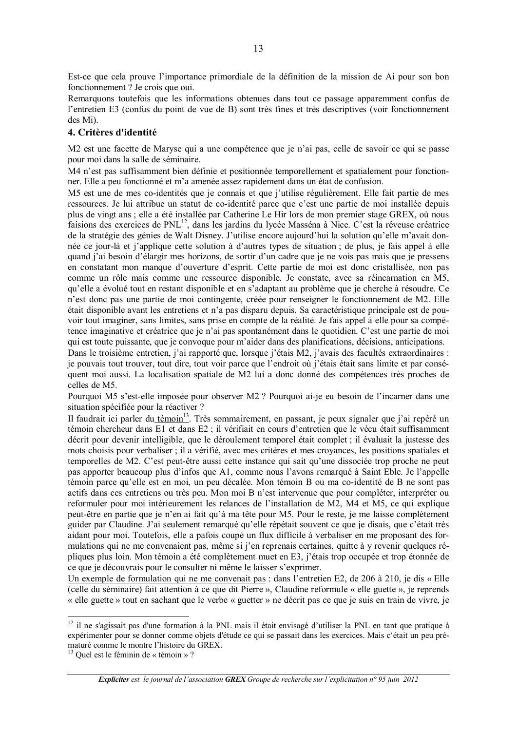Est-ce que cela prouve l'importance primordiale de la définition de la mission de Ai pour son bon fonctionnement? Je crois que oui.

Remarquons toutefois que les informations obtenues dans tout ce passage apparemment confus de l'entretien E3 (confus du point de vue de B) sont très fines et très descriptives (voir fonctionnement des Mi).

#### 4. Critères d'identité

M2 est une facette de Maryse qui a une compétence que je n'ai pas, celle de savoir ce qui se passe pour moi dans la salle de séminaire.

M4 n'est pas suffisamment bien définie et positionnée temporellement et spatialement pour fonctionner. Elle a peu fonctionné et m'a amenée assez rapidement dans un état de confusion.

M5 est une de mes co-identités que je connais et que j'utilise régulièrement. Elle fait partie de mes ressources. Je lui attribue un statut de co-identité parce que c'est une partie de moi installée depuis plus de vingt ans ; elle a été installée par Catherine Le Hir lors de mon premier stage GREX, où nous faisions des exercices de PNL<sup>12</sup>, dans les jardins du lycée Masséna à Nice. C'est la rêveuse créatrice de la stratégie des génies de Walt Disney. J'utilise encore aujourd'hui la solution qu'elle m'avait donnée ce iour-là et i'applique cette solution à d'autres types de situation; de plus, je fais appel à elle quand j'ai besoin d'élargir mes horizons, de sortir d'un cadre que je ne vois pas mais que je pressens en constatant mon manque d'ouverture d'esprit. Cette partie de moi est donc cristallisée, non pas comme un rôle mais comme une ressource disponible. Je constate, avec sa réincarnation en M5, qu'elle a évolué tout en restant disponible et en s'adaptant au problème que je cherche à résoudre. Ce n'est donc pas une partie de moi contingente, créée pour renseigner le fonctionnement de M2. Elle était disponible avant les entretiens et n'a pas disparu depuis. Sa caractéristique principale est de pouvoir tout imaginer, sans limites, sans prise en compte de la réalité. Je fais appel à elle pour sa compétence imaginative et créatrice que je n'ai pas spontanément dans le quotidien. C'est une partie de moi qui est toute puissante, que je convoque pour m'aider dans des planifications, décisions, anticipations.

Dans le troisième entretien, j'ai rapporté que, lorsque j'étais M2, j'avais des facultés extraordinaires : je pouvais tout trouver, tout dire, tout voir parce que l'endroit où j'étais était sans limite et par conséquent moi aussi. La localisation spatiale de M2 lui a donc donné des compétences très proches de celles de M5.

Pourquoi M5 s'est-elle imposée pour observer M2 ? Pourquoi ai-je eu besoin de l'incarner dans une situation spécifiée pour la réactiver ?

Il faudrait ici parler du témoin<sup>13</sup>. Très sommairement, en passant, je peux signaler que j'ai repéré un témoin chercheur dans E1 et dans E2 ; il vérifiait en cours d'entretien que le vécu était suffisamment décrit pour devenir intelligible, que le déroulement temporel était complet ; il évaluait la justesse des mots choisis pour verbaliser; il a vérifié, avec mes critères et mes croyances, les positions spatiales et temporelles de M2. C'est peut-être aussi cette instance qui sait qu'une dissociée trop proche ne peut pas apporter beaucoup plus d'infos que A1, comme nous l'avons remarqué à Saint Eble. Je l'appelle témoin parce qu'elle est en moi, un peu décalée. Mon témoin B ou ma co-identité de B ne sont pas actifs dans ces entretiens ou très peu. Mon moi B n'est intervenue que pour compléter, interpréter ou reformuler pour moi intérieurement les relances de l'installation de M2, M4 et M5, ce qui explique peut-être en partie que je n'en ai fait qu'à ma tête pour M5. Pour le reste, je me laisse complètement guider par Claudine. J'ai seulement remarqué qu'elle répétait souvent ce que je disais, que c'était très aidant pour moi. Toutefois, elle a pafois coupé un flux difficile à verbaliser en me proposant des formulations qui ne me convenaient pas, même si j'en reprenais certaines, quitte à y revenir quelques répliques plus loin. Mon témoin a été complètement muet en E3, j'étais trop occupée et trop étonnée de ce que je découvrais pour le consulter ni même le laisser s'exprimer.

Un exemple de formulation qui ne me convenait pas : dans l'entretien E2, de 206 à 210, je dis « Elle (celle du séminaire) fait attention à ce que dit Pierre ». Claudine reformule « elle guette », je reprends « elle guette » tout en sachant que le verbe « guetter » ne décrit pas ce que je suis en train de vivre, je

<sup>&</sup>lt;sup>12</sup> il ne s'agissait pas d'une formation à la PNL mais il était envisagé d'utiliser la PNL en tant que pratique à expérimenter pour se donner comme objets d'étude ce qui se passait dans les exercices. Mais c'était un peu prématuré comme le montre l'histoire du GREX.

 $13$  Ouel est le féminin de « témoin »?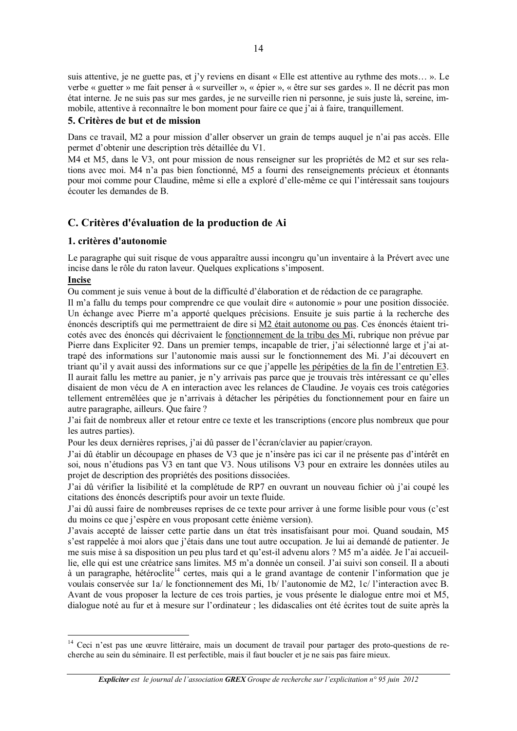suis attentive, je ne guette pas, et j'y reviens en disant « Elle est attentive au rythme des mots... ». Le verbe « guetter » me fait penser à « surveiller », « épier », « être sur ses gardes ». Il ne décrit pas mon état interne. Je ne suis pas sur mes gardes, je ne surveille rien ni personne, je suis juste là, sereine, immobile, attentive à reconnaître le bon moment pour faire ce que j'ai à faire, tranquillement.

#### 5. Critères de but et de mission

Dans ce travail, M2 a pour mission d'aller observer un grain de temps auquel je n'ai pas accès. Elle permet d'obtenir une description très détaillée du V1.

M4 et M5, dans le V3, ont pour mission de nous renseigner sur les propriétés de M2 et sur ses relations avec moi. M4 n'a pas bien fonctionné, M5 a fourni des renseignements précieux et étonnants pour moi comme pour Claudine, même si elle a exploré d'elle-même ce qui l'intéressait sans toujours écouter les demandes de B.

#### C. Critères d'évaluation de la production de Ai

#### 1. critères d'autonomie

Le paragraphe qui suit risque de vous apparaître aussi incongru qu'un inventaire à la Prévert avec une incise dans le rôle du raton laveur. Quelques explications s'imposent.

#### **Incise**

Ou comment je suis venue à bout de la difficulté d'élaboration et de rédaction de ce paragraphe.

Il m'a fallu du temps pour comprendre ce que voulait dire « autonomie » pour une position dissociée. Un échange avec Pierre m'a apporté quelques précisions. Ensuite je suis partie à la recherche des énoncés descriptifs qui me permettraient de dire si M2 était autonome ou pas. Ces énoncés étaient tricotés avec des énoncés qui décrivaient le fonctionnement de la tribu des Mi, rubrique non prévue par Pierre dans Expliciter 92. Dans un premier temps, incapable de trier, j'ai sélectionné large et j'ai attrapé des informations sur l'autonomie mais aussi sur le fonctionnement des Mi. J'ai découvert en triant qu'il y avait aussi des informations sur ce que j'appelle les péripéties de la fin de l'entretien E3. Il aurait fallu les mettre au panier, je n'y arrivais pas parce que je trouvais très intéressant ce qu'elles disaient de mon vécu de A en interaction avec les relances de Claudine. Je voyais ces trois catégories tellement entremêlées que je n'arrivais à détacher les péripéties du fonctionnement pour en faire un autre paragraphe, ailleurs. Oue faire?

J'ai fait de nombreux aller et retour entre ce texte et les transcriptions (encore plus nombreux que pour les autres parties).

Pour les deux dernières reprises, j'ai dû passer de l'écran/clavier au papier/crayon.

J'ai dû établir un découpage en phases de V3 que je n'insère pas ici car il ne présente pas d'intérêt en soi, nous n'étudions pas V3 en tant que V3. Nous utilisons V3 pour en extraire les données utiles au projet de description des propriétés des positions dissociées.

J'ai dû vérifier la lisibilité et la complétude de RP7 en ouvrant un nouveau fichier où j'ai coupé les citations des énoncés descriptifs pour avoir un texte fluide.

J'ai dû aussi faire de nombreuses reprises de ce texte pour arriver à une forme lisible pour vous (c'est du moins ce que j'espère en vous proposant cette énième version).

J'avais accepté de laisser cette partie dans un état très insatisfaisant pour moi. Quand soudain, M5 s'est rappelée à moi alors que j'étais dans une tout autre occupation. Je lui ai demandé de patienter. Je me suis mise à sa disposition un peu plus tard et qu'est-il advenu alors ? M5 m'a aidée. Je l'ai accueillie, elle qui est une créatrice sans limites. M5 m'a donnée un conseil. J'ai suivi son conseil. Il a abouti à un paragraphe, hétéroclite<sup>14</sup> certes, mais qui a le grand avantage de contenir l'information que je voulais conservée sur 1a/le fonctionnement des Mi, 1b/l'autonomie de M2, 1c/l'interaction avec B. Avant de vous proposer la lecture de ces trois parties, je vous présente le dialogue entre moi et M5, dialogue noté au fur et à mesure sur l'ordinateur ; les didascalies ont été écrites tout de suite après la

<sup>&</sup>lt;sup>14</sup> Ceci n'est pas une œuvre littéraire, mais un document de travail pour partager des proto-questions de recherche au sein du séminaire. Il est perfectible, mais il faut boucler et je ne sais pas faire mieux.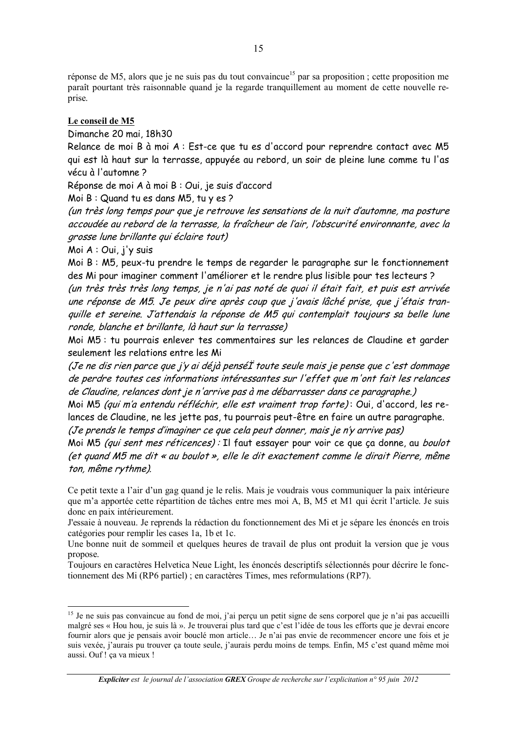réponse de M5, alors que je ne suis pas du tout convaincue<sup>15</sup> par sa proposition ; cette proposition me paraît pourtant très raisonnable quand je la regarde tranquillement au moment de cette nouvelle reprise.

#### Le conseil de M5

Dimanche 20 mai, 18h30

Relance de moi B à moi A : Est-ce que tu es d'accord pour reprendre contact avec M5 qui est là haut sur la terrasse, appuyée au rebord, un soir de pleine lune comme tu l'as vécu à l'automne?

Réponse de moi A à moi B : Oui, je suis d'accord

Moi B: Quand tu es dans M5, tu y es ?

(un très long temps pour que je retrouve les sensations de la nuit d'automne, ma posture accoudée au rebord de la terrasse, la fraîcheur de l'air, l'obscurité environnante, avec la grosse lune brillante qui éclaire tout)

Moi A : Oui, j'y suis

Moi B: M5, peux-tu prendre le temps de regarder le paragraphe sur le fonctionnement des Mi pour imaginer comment l'améliorer et le rendre plus lisible pour tes lecteurs ?

(un très très très long temps, je n'ai pas noté de quoi il était fait, et puis est arrivée une réponse de M5. Je peux dire après coup que j'avais lâché prise, que j'étais tranquille et sereine. J'attendais la réponse de M5 qui contemplait toujours sa belle lune ronde, blanche et brillante, là haut sur la terrasse)

Moi M5 : tu pourrais enlever tes commentaires sur les relances de Claudine et garder seulement les relations entre les Mi

(Je ne dis rien parce que j'y ai déjà pensé i toute seule mais je pense que c'est dommage de perdre toutes ces informations intéressantes sur l'effet que m'ont fait les relances de Claudine, relances dont je n'arrive pas à me débarrasser dans ce paragraphe.)

Moi M5 (qui m'a entendu réfléchir, elle est vraiment trop forte): Qui, d'accord, les relances de Claudine, ne les jette pas, tu pourrais peut-être en faire un autre paragraphe.

(Je prends le temps d'imaginer ce que cela peut donner, mais je n'y arrive pas)

Moi M5 (qui sent mes réticences) : Il faut essayer pour voir ce que ça donne, au boulot (et quand M5 me dit « au boulot », elle le dit exactement comme le dirait Pierre, même ton, même rythme).

Ce petit texte a l'air d'un gag quand je le relis. Mais je voudrais vous communiquer la paix intérieure que m'a apportée cette répartition de tâches entre mes moi A, B, M5 et M1 qui écrit l'article. Je suis donc en paix intérieurement.

J'essaie à nouveau. Je reprends la rédaction du fonctionnement des Mi et je sépare les énoncés en trois catégories pour remplir les cases 1a, 1b et 1c.

Une bonne nuit de sommeil et quelques heures de travail de plus ont produit la version que je vous propose.

Toujours en caractères Helvetica Neue Light, les énoncés descriptifs sélectionnés pour décrire le fonctionnement des Mi (RP6 partiel); en caractères Times, mes reformulations (RP7).

<sup>&</sup>lt;sup>15</sup> Je ne suis pas convaincue au fond de moi, j'ai perçu un petit signe de sens corporel que je n'ai pas accueilli malgré ses « Hou hou, je suis là ». Je trouverai plus tard que c'est l'idée de tous les efforts que je devrai encore fournir alors que je pensais avoir bouclé mon article... Je n'ai pas envie de recommencer encore une fois et je suis vexée, j'aurais pu trouver ça toute seule, j'aurais perdu moins de temps. Enfin, M5 c'est quand même moi aussi. Ouf ! ça va mieux !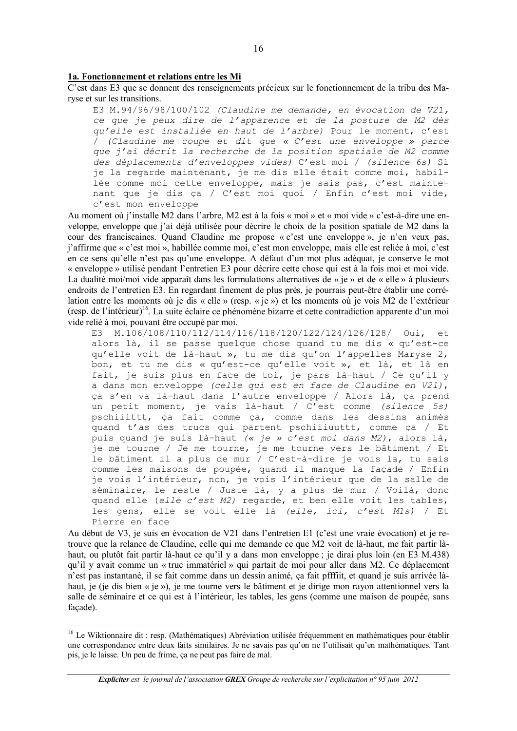#### 1a. Fonctionnement et relations entre les Mi

C'est dans E3 que se donnent des renseignements précieux sur le fonctionnement de la tribu des Maryse et sur les transitions.

E3 M.94/96/98/100/102 (Claudine me demande, en évocation de V21, ce que je peux dire de l'apparence et de la posture de M2 dès qu'elle est installée en haut de l'arbre) Pour le moment, c'est  $\overline{C}$  (Claudine me coupe et dit que « C'est une enveloppe » parce que j'ai décrit la recherche de la position spatiale de M2 comme des déplacements d'enveloppes vides) C'est moi / (silence 6s) Si je la regarde maintenant, je me dis elle était comme moi, habillée comme moi cette enveloppe, mais je sais pas, c'est maintenant que je dis ça / C'est moi quoi / Enfin c'est moi vide, c'est mon enveloppe

Au moment où j'installe M2 dans l'arbre, M2 est à la fois « moi » et « moi vide » c'est-à-dire une enveloppe, enveloppe que j'ai déjà utilisée pour décrire le choix de la position spatiale de M2 dans la cour des franciscaines. Quand Claudine me propose « c'est une enveloppe », je n'en veux pas, j'affirme que « c'est moi », habillée comme moi, c'est mon enveloppe, mais elle est reliée à moi, c'est en ce sens qu'elle n'est pas qu'une enveloppe. A défaut d'un mot plus adéquat, je conserve le mot « enveloppe » utilisé pendant l'entretien E3 pour décrire cette chose qui est à la fois moi et moi vide. La dualité moi/moi vide apparaît dans les formulations alternatives de « je » et de « elle » à plusieurs endroits de l'entretien E3. En regardant finement de plus près, je pourrais peut-être établir une corrélation entre les moments où je dis « elle » (resp. « je ») et les moments où je vois M2 de l'extérieur (resp. de l'intérieur)<sup>16</sup>. La suite éclaire ce phénomène bizarre et cette contradiction apparente d'un moi vide relié à moi, pouvant être occupé par moi.

M.106/108/110/112/114/116/118/120/122/124/126/128/ Oui,  $E3$  $\leftrightarrow$ alors là, il se passe quelque chose quand tu me dis « qu'est-ce qu'elle voit de là-haut », tu me dis qu'on l'appelles Maryse 2, bon, et tu me dis « qu'est-ce qu'elle voit », et là, et là en fait, je suis plus en face de toi, je pars là-haut / Ce qu'il y<br>a dans mon enveloppe (celle qui est en face de Claudine en V21), ca s'en va là-haut dans l'autre enveloppe / Alors là, ca prend un petit moment, je vais là-haut / C'est comme (silence 5s) pschiiittt, ça fait comme ça, comme dans les dessins animés quand t'as des trucs qui partent pschiiiuuttt, comme ça / Et puis quand je suis là-haut (« je » c'est moi dans M2), alors là, je me tourne / Je me tourne, je me tourne vers le bâtiment / Et<br>le bâtiment il a plus de mur / C'est-à-dire je vois la, tu sais comme les maisons de poupée, quand il manque la façade / Enfin je vois l'intérieur, non, je vois l'intérieur que de la salle de séminaire, le reste / Juste là, y a plus de mur / Voilà, donc quand elle (elle c'est M2) regarde, et ben elle voit les tables, les gens, elle se voit elle là (elle, ici, c'est M1s) / Et Pierre en face

Au début de V3, je suis en évocation de V21 dans l'entretien E1 (c'est une vraie évocation) et je retrouve que la relance de Claudine, celle qui me demande ce que M2 voit de là-haut, me fait partir làhaut, ou plutôt fait partir là-haut ce qu'il y a dans mon enveloppe ; je dirai plus loin (en E3 M.438) qu'il y avait comme un « truc immatériel » qui partait de moi pour aller dans M2. Ce déplacement n'est pas instantané, il se fait comme dans un dessin animé, ca fait pfffiit, et quand je suis arrivée làhaut, je (je dis bien « je »), je me tourne vers le bâtiment et je dirige mon rayon attentionnel vers la salle de séminaire et ce qui est à l'intérieur, les tables, les gens (comme une maison de poupée, sans facade).

<sup>&</sup>lt;sup>16</sup> Le Wiktionnaire dit : resp. (Mathématiques) Abréviation utilisée fréquemment en mathématiques pour établir une correspondance entre deux faits similaires. Je ne savais pas qu'on ne l'utilisait qu'en mathématiques. Tant pis, je le laisse. Un peu de frime, ça ne peut pas faire de mal.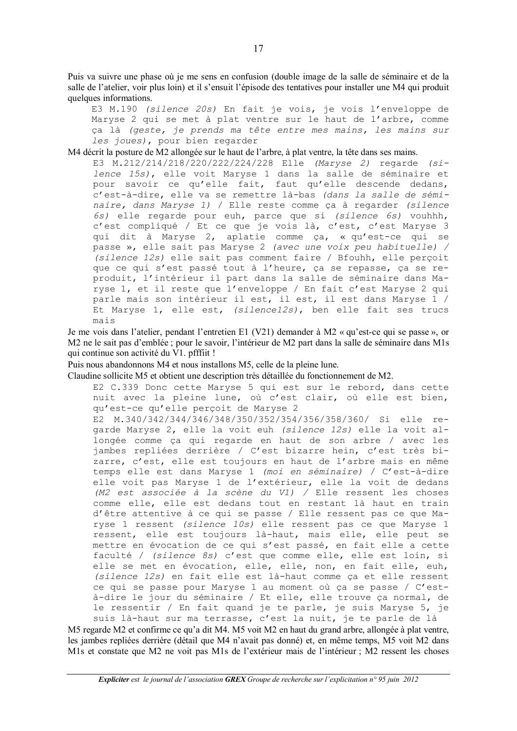Puis va suivre une phase où je me sens en confusion (double image de la salle de séminaire et de la salle de l'atelier, voir plus loin) et il s'ensuit l'épisode des tentatives pour installer une M4 qui produit quelques informations.

E3 M.190 (silence 20s) En fait je vois, je vois l'enveloppe de Maryse 2 qui se met à plat ventre sur le haut de l'arbre, comme ça là (geste, je prends ma tête entre mes mains, les mains sur les joues), pour bien regarder

M4 décrit la posture de M2 allongée sur le haut de l'arbre, à plat ventre, la tête dans ses mains.

E3 M.212/214/218/220/222/224/228 Elle (Maryse 2) regarde (silence 15s), elle voit Maryse 1 dans la salle de séminaire et pour savoir ce qu'elle fait, faut qu'elle descende dedans, c'est-à-dire, elle va se remettre là-bas (dans la salle de séminaire, dans Maryse 1) / Elle reste comme ca à regarder (silence 6s) elle regarde pour euh, parce que si (silence 6s) vouhhh, c'est compliqué / Et ce que je vois là, c'est, c'est Maryse 3 qui dit à Maryse 2, aplatie comme ça, « qu'est-ce qui se passe », elle sait pas Maryse 2 (avec une voix peu habituelle) / (silence 12s) elle sait pas comment faire / Bfouhh, elle perçoit que ce qui s'est passé tout à l'heure, ça se repasse, ça se reproduit, l'intérieur il part dans la salle de séminaire dans Maryse 1, et il reste que l'enveloppe / En fait c'est Maryse 2 qui parle mais son intérieur il est, il est, il est dans Maryse 1 / Et Maryse 1, elle est, (silencel2s), ben elle fait ses trucs mais

Je me vois dans l'atelier, pendant l'entretien E1 (V21) demander à M2 « qu'est-ce qui se passe », or M2 ne le sait pas d'emblée ; pour le savoir, l'intérieur de M2 part dans la salle de séminaire dans M1s qui continue son activité du V1. pfffiit!

Puis nous abandonnons M4 et nous installons M5, celle de la pleine lune.

Claudine sollicite M5 et obtient une description très détaillée du fonctionnement de M2.

E2 C.339 Donc cette Maryse 5 qui est sur le rebord, dans cette nuit avec la pleine lune, où c'est clair, où elle est bien, qu'est-ce qu'elle perçoit de Maryse 2

E2 M.340/342/344/346/348/350/352/354/356/358/360/ Si elle regarde Maryse 2, elle la voit euh (silence 12s) elle la voit allongée comme ça qui regarde en haut de son arbre / avec les jambes repliées derrière / C'est bizarre hein, c'est très bizarre, c'est, elle est toujours en haut de l'arbre mais en même temps elle est dans Maryse 1 (moi en séminaire) / C'est-à-dire elle voit pas Maryse 1 de l'extérieur, elle la voit de dedans (M2 est associée à la scène du V1) / Elle ressent les choses comme elle, elle est dedans tout en restant là haut en train d'être attentive à ce qui se passe / Elle ressent pas ce que Maryse 1 ressent (silence 10s) elle ressent pas ce que Maryse 1 ressent, elle est toujours là-haut, mais elle, elle peut se mettre en évocation de ce qui s'est passé, en fait elle a cette faculté / (silence 8s) c'est que comme elle, elle est loin, si elle se met en évocation, elle, elle, non, en fait elle, euh, (silence 12s) en fait elle est là-haut comme ça et elle ressent ce qui se passe pour Maryse 1 au moment où ca se passe / C'està-dire le jour du séminaire / Et elle, elle trouve ça normal, de le ressentir / En fait quand je te parle, je suis Maryse 5, je suis là-haut sur ma terrasse, c'est la nuit, je te parle de là

M5 regarde M2 et confirme ce qu'a dit M4. M5 voit M2 en haut du grand arbre, allongée à plat ventre, les jambes repliées derrière (détail que M4 n'avait pas donné) et, en même temps, M5 voit M2 dans M1s et constate que M2 ne voit pas M1s de l'extérieur mais de l'intérieur ; M2 ressent les choses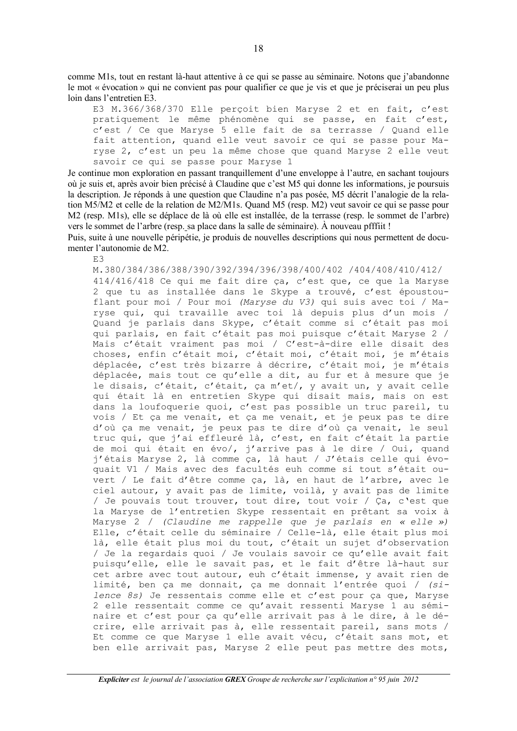comme M1s, tout en restant là-haut attentive à ce qui se passe au séminaire. Notons que j'abandonne le mot « évocation » qui ne convient pas pour qualifier ce que je vis et que je préciserai un peu plus loin dans l'entretien E3.

E3 M.366/368/370 Elle perçoit bien Maryse 2 et en fait, c'est pratiquement le même phénomène qui se passe, en fait c'est, c'est / Ce que Maryse 5 elle fait de sa terrasse / Quand elle fait attention, quand elle veut savoir ce qui se passe pour Maryse 2, c'est un peu la même chose que quand Maryse 2 elle veut savoir ce qui se passe pour Maryse 1

Je continue mon exploration en passant tranquillement d'une enveloppe à l'autre, en sachant toujours où je suis et, après avoir bien précisé à Claudine que c'est M5 qui donne les informations, je poursuis la description. Je réponds à une question que Claudine n'a pas posée, M5 décrit l'analogie de la relation M5/M2 et celle de la relation de M2/M1s. Quand M5 (resp. M2) veut savoir ce qui se passe pour M2 (resp. M1s), elle se déplace de là où elle est installée, de la terrasse (resp. le sommet de l'arbre) vers le sommet de l'arbre (resp. sa place dans la salle de séminaire). À nouveau pfffiit!

Puis, suite à une nouvelle péripétie, je produis de nouvelles descriptions qui nous permettent de documenter l'autonomie de M2.

 $E.3$ 

M.380/384/386/388/390/392/394/396/398/400/402 /404/408/410/412/ 414/416/418 Ce qui me fait dire ca, c'est que, ce que la Maryse 2 que tu as installée dans le Skype a trouvé, c'est époustouflant pour moi / Pour moi (Maryse du V3) qui suis avec toi / Maryse qui, qui travaille avec toi là depuis plus d'un mois / Quand je parlais dans Skype, c'était comme si c'était pas moi qui parlais, en fait c'était pas moi puisque c'était Maryse 2 / Mais c'était vraiment pas moi / C'est-à-dire elle disait des choses, enfin c'était moi, c'était moi, c'était moi, je m'étais déplacée, c'est très bizarre à décrire, c'était moi, je m'étais déplacée, mais tout ce qu'elle a dit, au fur et à mesure que je le disais, c'était, c'était, ça m'et/, y avait un, y avait celle qui était là en entretien Skype qui disait mais, mais on est dans la loufoquerie quoi, c'est pas possible un truc pareil, tu vois / Et ça me venait, et ça me venait, et je peux pas te dire d'où ca me venait, je peux pas te dire d'où ca venait, le seul truc qui, que j'ai effleuré là, c'est, en fait c'était la partie de moi qui était en évo/, j'arrive pas à le dire / Oui, quand j'étais Maryse 2, là comme ça, là haut / J'étais celle qui évoquait V1 / Mais avec des facultés euh comme si tout s'était ouvert / Le fait d'être comme ca, là, en haut de l'arbre, avec le ciel autour, y avait pas de limite, voilà, y avait pas de limite / Je pouvais tout trouver, tout dire, tout voir / Ça, c'est que la Maryse de l'entretien Skype ressentait en prêtant sa voix à Maryse 2 / (Claudine me rappelle que je parlais en « elle ») Elle, c'était celle du séminaire / Celle-là, elle était plus moi là, elle était plus moi du tout, c'était un sujet d'observation / Je la regardais quoi / Je voulais savoir ce qu'elle avait fait puisqu'elle, elle le savait pas, et le fait d'être là-haut sur cet arbre avec tout autour, euh c'était immense, y avait rien de limité, ben ca me donnait, ca me donnait l'entrée quoi / (silence 8s) Je ressentais comme elle et c'est pour ça que, Maryse 2 elle ressentait comme ce qu'avait ressenti Maryse 1 au séminaire et c'est pour ca qu'elle arrivait pas à le dire, à le décrire, elle arrivait pas à, elle ressentait pareil, sans mots / Et comme ce que Maryse 1 elle avait vécu, c'était sans mot, et ben elle arrivait pas, Maryse 2 elle peut pas mettre des mots,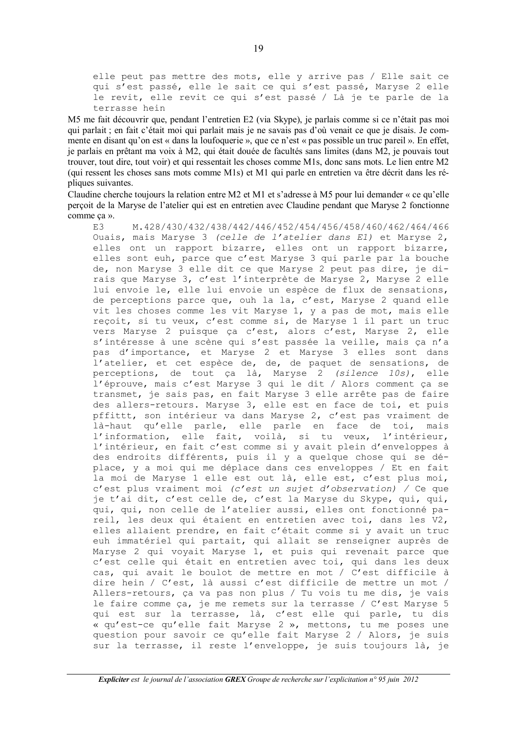elle peut pas mettre des mots, elle y arrive pas / Elle sait ce qui s'est passé, elle le sait ce qui s'est passé, Maryse 2 elle le revit, elle revit ce qui s'est passé / Là je te parle de la terrasse hein

M5 me fait découvrir que, pendant l'entretien E2 (via Skype), je parlais comme si ce n'était pas moi qui parlait ; en fait c'était moi qui parlait mais je ne savais pas d'où venait ce que je disais. Je commente en disant qu'on est « dans la loufoquerie », que ce n'est « pas possible un truc pareil ». En effet, je parlais en prêtant ma voix à M2, qui était douée de facultés sans limites (dans M2, je pouvais tout trouver, tout dire, tout voir) et qui ressentait les choses comme M1s, donc sans mots. Le lien entre M2 (qui ressent les choses sans mots comme M1s) et M1 qui parle en entretien va être décrit dans les répliques suivantes.

Claudine cherche toujours la relation entre M2 et M1 et s'adresse à M5 pour lui demander « ce qu'elle perçoit de la Maryse de l'atelier qui est en entretien avec Claudine pendant que Maryse 2 fonctionne comme ça ».

 $E.3$ M.428/430/432/438/442/446/452/454/456/458/460/462/464/466 Ouais, mais Maryse 3 (celle de l'atelier dans E1) et Maryse 2, elles ont un rapport bizarre, elles ont un rapport bizarre, elles sont euh, parce que c'est Maryse 3 qui parle par la bouche de, non Maryse 3 elle dit ce que Maryse 2 peut pas dire, je dirais que Maryse 3, c'est l'interprète de Maryse 2, Maryse 2 elle lui envoie le, elle lui envoie un espèce de flux de sensations, de perceptions parce que, ouh la la, c'est, Maryse 2 quand elle vit les choses comme les vit Maryse 1, y a pas de mot, mais elle reçoit, si tu veux, c'est comme si, de Maryse 1 il part un truc vers Maryse 2 puisque ça c'est, alors c'est, Maryse 2, elle s'intéresse à une scène qui s'est passée la veille, mais ça n'a pas d'importance, et Maryse 2 et Maryse 3 elles sont dans l'atelier, et cet espèce de, de, de paquet de sensations, de perceptions, de tout ça là, Maryse 2 (silence 10s), elle l'éprouve, mais c'est Maryse 3 qui le dit / Alors comment ça se transmet, je sais pas, en fait Maryse 3 elle arrête pas de faire des allers-retours. Maryse 3, elle est en face de toi, et puis pffittt, son intérieur va dans Maryse 2, c'est pas vraiment de là-haut qu'elle parle, elle parle en face de toi, mais l'information, elle fait, voilà, si tu veux, l'intérieur, l'intérieur, en fait c'est comme si y avait plein d'enveloppes à des endroits différents, puis il y a quelque chose qui se déplace, y a moi qui me déplace dans ces enveloppes / Et en fait la moi de Maryse 1 elle est out là, elle est, c'est plus moi, c'est plus vraiment moi (c'est un sujet d'observation) / Ce que je t'ai dit, c'est celle de, c'est la Maryse du Skype, qui, qui, qui, qui, non celle de l'atelier aussi, elles ont fonctionné pareil, les deux qui étaient en entretien avec toi, dans les V2, elles allaient prendre, en fait c'était comme si y avait un truc euh immatériel qui partait, qui allait se renseigner auprès de<br>Maryse 2 qui voyait Maryse 1, et puis qui revenait parce que c'est celle qui était en entretien avec toi, qui dans les deux cas, qui avait le boulot de mettre en mot / C'est difficile à dire hein / C'est, là aussi c'est difficile de mettre un mot / Allers-retours, ça va pas non plus / Tu vois tu me dis, je vais le faire comme ça, je me remets sur la terrasse / C'est Maryse 5 qui est sur la terrasse, là, c'est elle qui parle, tu dis « qu'est-ce qu'elle fait Maryse 2 », mettons, tu me poses une question pour savoir ce qu'elle fait Maryse 2 / Alors, je suis sur la terrasse, il reste l'enveloppe, je suis toujours là, je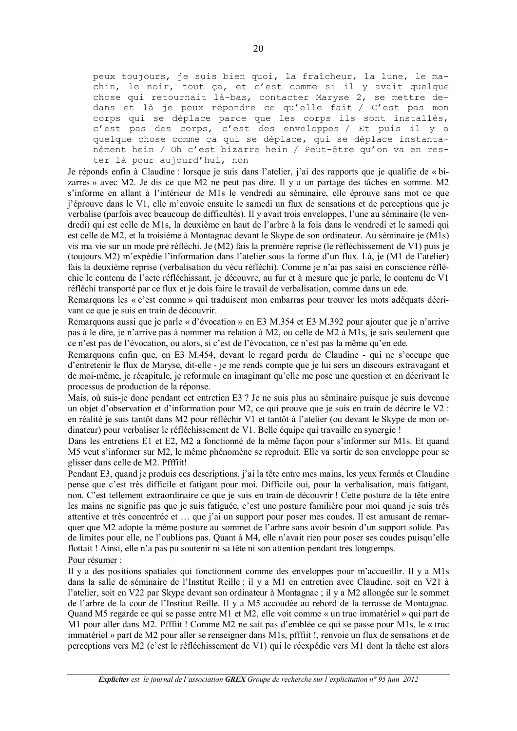peux toujours, je suis bien quoi, la fraîcheur, la lune, le machin, le noir, tout ça, et c'est comme si il y avait quelque chose qui retournait là-bas, contacter Maryse 2, se mettre dedans et là je peux répondre ce qu'elle fait / C'est pas mon corps qui se déplace parce que les corps ils sont installés, c'est pas des corps, c'est des enveloppes / Et puis il y a quelque chose comme ça qui se déplace, qui se déplace instantanément hein / Oh c'est bizarre hein / Peut-être qu'on va en rester là pour aujourd'hui, non

Je réponds enfin à Claudine : lorsque je suis dans l'atelier, j'ai des rapports que je qualifie de « bizarres » avec M2. Je dis ce que M2 ne peut pas dire. Il y a un partage des tâches en somme. M2 s'informe en allant à l'intérieur de M1s le vendredi au séminaire, elle éprouve sans mot ce que j'éprouve dans le V1, elle m'envoie ensuite le samedi un flux de sensations et de perceptions que je verbalise (parfois avec beaucoup de difficultés). Il y avait trois enveloppes, l'une au séminaire (le vendredi) qui est celle de M1s, la deuxième en haut de l'arbre à la fois dans le vendredi et le samedi qui est celle de M2, et la troisième à Montagnac devant le Skype de son ordinateur. Au séminaire je (M1s) vis ma vie sur un mode pré réfléchi. Je (M2) fais la première reprise (le réfléchissement de V1) puis je (toujours M2) m'expédie l'information dans l'atelier sous la forme d'un flux. Là, je (M1 de l'atelier) fais la deuxième reprise (verbalisation du vécu réfléchi). Comme je n'ai pas saisi en conscience réfléchie le contenu de l'acte réfléchissant, je découvre, au fur et à mesure que je parle, le contenu de V1 réfléchi transporté par ce flux et je dois faire le travail de verbalisation, comme dans un ede.

Remarquons les « c'est comme » qui traduisent mon embarras pour trouver les mots adéquats décrivant ce que je suis en train de découvrir.

Remarquons aussi que je parle « d'évocation » en E3 M.354 et E3 M.392 pour ajouter que je n'arrive pas à le dire, je n'arrive pas à nommer ma relation à M2, ou celle de M2 à M1s, je sais seulement que ce n'est pas de l'évocation, ou alors, si c'est de l'évocation, ce n'est pas la même qu'en ede.

Remarquons enfin que, en E3 M.454, devant le regard perdu de Claudine - qui ne s'occupe que d'entretenir le flux de Maryse, dit-elle - je me rends compte que je lui sers un discours extravagant et de moi-même, je récapitule, je reformule en imaginant qu'elle me pose une question et en décrivant le processus de production de la réponse.

Mais, où suis-je donc pendant cet entretien E3 ? Je ne suis plus au séminaire puisque je suis devenue un objet d'observation et d'information pour M2, ce qui prouve que je suis en train de décrire le V2 : en réalité je suis tantôt dans M2 pour réfléchir V1 et tantôt à l'atelier (ou devant le Skype de mon ordinateur) pour verbaliser le réfléchissement de V1. Belle équipe qui travaille en synergie !

Dans les entretiens E1 et E2, M2 a fonctionné de la même façon pour s'informer sur M1s. Et quand M5 veut s'informer sur M2, le même phénomène se reproduit. Elle va sortir de son enveloppe pour se glisser dans celle de M2. Pfffiit!

Pendant E3, quand je produis ces descriptions, j'ai la tête entre mes mains, les yeux fermés et Claudine pense que c'est très difficile et fatigant pour moi. Difficile oui, pour la verbalisation, mais fatigant, non. C'est tellement extraordinaire ce que je suis en train de découvrir ! Cette posture de la tête entre les mains ne signifie pas que je suis fatiguée, c'est une posture familière pour moi quand je suis très attentive et très concentrée et ... que j'ai un support pour poser mes coudes. Il est amusant de remarquer que M2 adopte la même posture au sommet de l'arbre sans avoir besoin d'un support solide. Pas de limites pour elle, ne l'oublions pas. Quant à M4, elle n'avait rien pour poser ses coudes puisqu'elle flottait! Ainsi, elle n'a pas pu soutenir ni sa tête ni son attention pendant très longtemps. Pour résumer :

Il y a des positions spatiales qui fonctionnent comme des enveloppes pour m'accueillir. Il y a M1s dans la salle de séminaire de l'Institut Reille; il y a M1 en entretien avec Claudine, soit en V21 à l'atelier, soit en V22 par Skype devant son ordinateur à Montagnac ; il y a M2 allongée sur le sommet de l'arbre de la cour de l'Institut Reille. Il y a M5 accoudée au rebord de la terrasse de Montagnac. Quand M5 regarde ce qui se passe entre M1 et M2, elle voit comme « un truc immatériel » qui part de M1 pour aller dans M2. Pfffiit ! Comme M2 ne sait pas d'emblée ce qui se passe pour M1s, le « truc immatériel » part de M2 pour aller se renseigner dans M1s, pfffiit !, renvoie un flux de sensations et de perceptions vers M2 (c'est le réfléchissement de V1) qui le réexpédie vers M1 dont la tâche est alors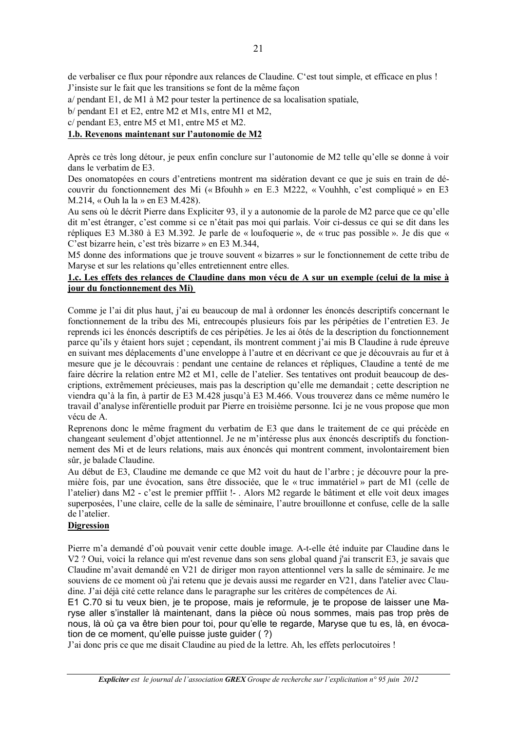de verbaliser ce flux pour répondre aux relances de Claudine. C'est tout simple, et efficace en plus ! J'insiste sur le fait que les transitions se font de la même façon

a/ pendant E1, de M1 à M2 pour tester la pertinence de sa localisation spatiale,

 $b/$  pendant E1 et E2, entre M2 et M1s, entre M1 et M2.

c/ pendant E3, entre M5 et M1, entre M5 et M2.

#### 1.b. Revenons maintenant sur l'autonomie de M2

Après ce très long détour, je peux enfin conclure sur l'autonomie de M2 telle qu'elle se donne à voir dans le verbatim de E3.

Des onomatopées en cours d'entretiens montrent ma sidération devant ce que je suis en train de découvrir du fonctionnement des Mi (« Bfouhh » en E.3 M222, « Vouhhh, c'est compliqué » en E3 M.214, « Ouh la la » en E3 M.428).

Au sens où le décrit Pierre dans Expliciter 93, il y a autonomie de la parole de M2 parce que ce qu'elle dit m'est étranger, c'est comme si ce n'était pas moi qui parlais. Voir ci-dessus ce qui se dit dans les répliques E3 M.380 à E3 M.392. Je parle de « loufoquerie », de « truc pas possible ». Je dis que « C'est bizarre hein, c'est très bizarre » en E3 M.344.

M5 donne des informations que je trouve souvent « bizarres » sur le fonctionnement de cette tribu de Maryse et sur les relations qu'elles entretiennent entre elles.

#### 1.c. Les effets des relances de Claudine dans mon vécu de A sur un exemple (celui de la mise à jour du fonctionnement des Mi)

Comme je l'ai dit plus haut, j'ai eu beaucoup de mal à ordonner les énoncés descriptifs concernant le fonctionnement de la tribu des Mi, entrecoupés plusieurs fois par les péripéties de l'entretien E3. Je reprends ici les énoncés descriptifs de ces péripéties. Je les ai ôtés de la description du fonctionnement parce qu'ils y étaient hors sujet ; cependant, ils montrent comment j'ai mis B Claudine à rude épreuve en suivant mes déplacements d'une enveloppe à l'autre et en décrivant ce que je découvrais au fur et à mesure que je le découvrais : pendant une centaine de relances et répliques. Claudine a tenté de me faire décrire la relation entre M2 et M1, celle de l'atelier. Ses tentatives ont produit beaucoup de descriptions, extrêmement précieuses, mais pas la description qu'elle me demandait ; cette description ne viendra qu'à la fin, à partir de E3 M.428 jusqu'à E3 M.466. Vous trouverez dans ce même numéro le travail d'analyse inférentielle produit par Pierre en troisième personne. Ici je ne vous propose que mon vécu de A.

Reprenons donc le même fragment du verbatim de E3 que dans le traitement de ce qui précède en changeant seulement d'objet attentionnel. Je ne m'intéresse plus aux énoncés descriptifs du fonctionnement des Mi et de leurs relations, mais aux énoncés qui montrent comment, involontairement bien sûr, je balade Claudine.

Au début de E3, Claudine me demande ce que M2 voit du haut de l'arbre ; je découvre pour la première fois, par une évocation, sans être dissociée, que le « truc immatériel » part de M1 (celle de l'atelier) dans M2 - c'est le premier pfffiit !- . Alors M2 regarde le bâtiment et elle voit deux images superposées, l'une claire, celle de la salle de séminaire, l'autre brouillonne et confuse, celle de la salle de l'atelier.

#### **Digression**

Pierre m'a demandé d'où pouvait venir cette double image. A-t-elle été induite par Claudine dans le V2 ? Oui, voici la relance qui m'est revenue dans son sens global quand j'ai transcrit E3, je savais que Claudine m'avait demandé en V21 de diriger mon rayon attentionnel vers la salle de séminaire. Je me souviens de ce moment où j'ai retenu que je devais aussi me regarder en V21, dans l'atelier avec Claudine. J'ai déjà cité cette relance dans le paragraphe sur les critères de compétences de Ai.

E1 C.70 si tu veux bien, je te propose, mais je reformule, je te propose de laisser une Maryse aller s'installer là maintenant, dans la pièce où nous sommes, mais pas trop près de nous, là où ca va être bien pour toi, pour qu'elle te regarde, Maryse que tu es, là, en évocation de ce moment, qu'elle puisse juste quider (?)

J'ai donc pris ce que me disait Claudine au pied de la lettre. Ah, les effets perlocutoires !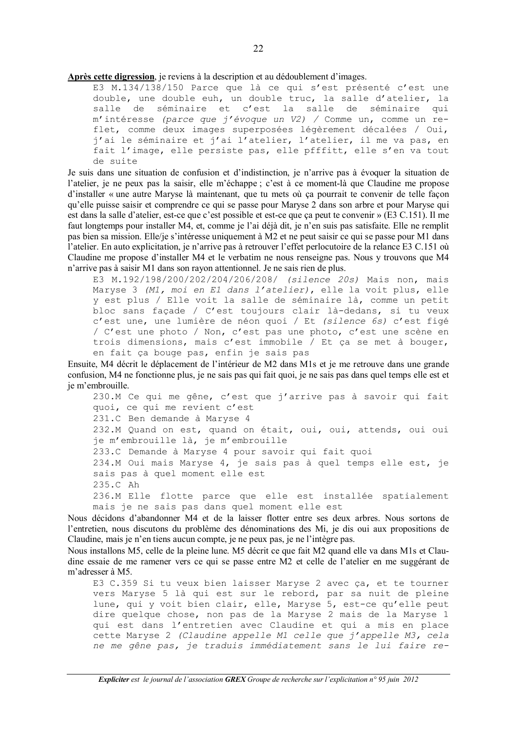Après cette digression, je reviens à la description et au dédoublement d'images.

E3 M.134/138/150 Parce que là ce qui s'est présenté c'est une double, une double euh, un double truc, la salle d'atelier, la salle de séminaire et c'est la salle de séminaire qui m'intéresse (parce que j'évoque un V2) / Comme un, comme un reflet, comme deux images superposées légèrement décalées / Oui, j'ai le séminaire et j'ai l'atelier, l'atelier, il me va pas, en fait l'image, elle persiste pas, elle pfffitt, elle s'en va tout de suite

Je suis dans une situation de confusion et d'indistinction, je n'arrive pas à évoquer la situation de l'atelier, je ne peux pas la saisir, elle m'échappe ; c'est à ce moment-là que Claudine me propose d'installer « une autre Maryse là maintenant, que tu mets où ça pourrait te convenir de telle façon qu'elle puisse saisir et comprendre ce qui se passe pour Maryse 2 dans son arbre et pour Maryse qui est dans la salle d'atelier, est-ce que c'est possible et est-ce que ça peut te convenir » (E3 C.151). Il me faut longtemps pour installer M4, et, comme je l'ai déjà dit, je n'en suis pas satisfaite. Elle ne remplit pas bien sa mission. Elle/je s'intéresse uniquement à M2 et ne peut saisir ce qui se passe pour M1 dans l'atelier. En auto explicitation, je n'arrive pas à retrouver l'effet perlocutoire de la relance E3 C.151 où Claudine me propose d'installer M4 et le verbatim ne nous renseigne pas. Nous y trouvons que M4 n'arrive pas à saisir M1 dans son rayon attentionnel. Je ne sais rien de plus.

E3 M.192/198/200/202/204/206/208/ (silence 20s) Mais non, mais Maryse 3 (M1, moi en E1 dans l'atelier), elle la voit plus, elle y est plus / Elle voit la salle de séminaire là, comme un petit bloc sans façade / C'est toujours clair là-dedans, si tu veux c'est une, une lumière de néon quoi / Et (silence 6s) c'est figé / C'est une photo / Non, c'est pas une photo, c'est une scène en trois dimensions, mais c'est immobile / Et ça se met à bouger, en fait ça bouge pas, enfin je sais pas

Ensuite, M4 décrit le déplacement de l'intérieur de M2 dans M1s et je me retrouve dans une grande confusion, M4 ne fonctionne plus, je ne sais pas qui fait quoi, je ne sais pas dans quel temps elle est et ie m'embrouille.

230.M Ce qui me gêne, c'est que j'arrive pas à savoir qui fait quoi, ce qui me revient c'est 231.C Ben demande à Maryse 4 232.M Quand on est, quand on était, oui, oui, attends, oui oui je m'embrouille là, je m'embrouille 233.C Demande à Maryse 4 pour savoir qui fait quoi 234.M Oui mais Maryse 4, je sais pas à quel temps elle est, je sais pas à quel moment elle est 235.C Ah 236.M Elle flotte parce que elle est installée spatialement mais je ne sais pas dans quel moment elle est

Nous décidons d'abandonner M4 et de la laisser flotter entre ses deux arbres. Nous sortons de l'entretien, nous discutons du problème des dénominations des Mi, je dis oui aux propositions de Claudine, mais je n'en tiens aucun compte, je ne peux pas, je ne l'intègre pas.

Nous installons M5, celle de la pleine lune. M5 décrit ce que fait M2 quand elle va dans M1s et Claudine essaie de me ramener vers ce qui se passe entre M2 et celle de l'atelier en me suggérant de m'adresser à M5.

E3 C.359 Si tu veux bien laisser Maryse 2 avec ça, et te tourner vers Maryse 5 là qui est sur le rebord, par sa nuit de pleine lune, qui y voit bien clair, elle, Maryse 5, est-ce qu'elle peut dire quelque chose, non pas de la Maryse 2 mais de la Maryse 1 qui est dans l'entretien avec Claudine et qui a mis en place cette Maryse 2 (Claudine appelle M1 celle que j'appelle M3, cela ne me gêne pas, je traduis immédiatement sans le lui faire re-

Expliciter est le journal de l'association GREX Groupe de recherche sur l'explicitation n° 95 juin 2012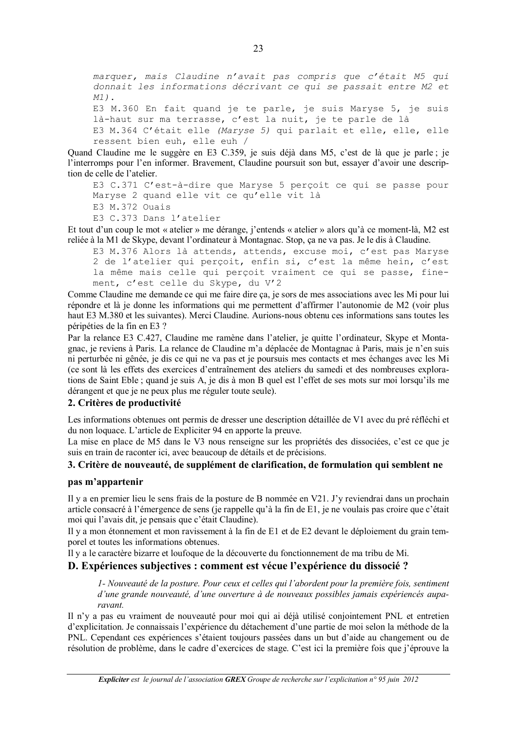marquer, mais Claudine n'avait pas compris que c'était M5 qui donnait les informations décrivant ce qui se passait entre M2 et  $M1$ ).

```
E3 M.360 En fait quand je te parle, je suis Maryse 5, je suis
là-haut sur ma terrasse, c'est la nuit, je te parle de là
E3 M.364 C'était elle (Maryse 5) qui parlait et elle, elle, elle
ressent bien euh, elle euh /
```
Quand Claudine me le suggère en E3 C.359, je suis déjà dans M5, c'est de là que je parle; je l'interromps pour l'en informer. Bravement, Claudine poursuit son but, essayer d'avoir une description de celle de l'atelier.

E3 C.371 C'est-à-dire que Maryse 5 perçoit ce qui se passe pour Maryse 2 quand elle vit ce qu'elle vit là E3 M.372 Ouais

E3 C.373 Dans l'atelier

Et tout d'un coup le mot « atelier » me dérange, j'entends « atelier » alors qu'à ce moment-là, M2 est reliée à la M1 de Skype, devant l'ordinateur à Montagnac. Stop, ça ne va pas. Je le dis à Claudine.

```
E3 M.376 Alors là attends, attends, excuse moi, c'est pas Maryse
2 de l'atelier qui perçoit, enfin si, c'est la même hein, c'est
la même mais celle qui perçoit vraiment ce qui se passe, fine-
ment, c'est celle du Skype, du V'2
```
Comme Claudine me demande ce qui me faire dire ca, je sors de mes associations avec les Mi pour lui répondre et là je donne les informations qui me permettent d'affirmer l'autonomie de M2 (voir plus haut E3 M.380 et les suivantes). Merci Claudine. Aurions-nous obtenu ces informations sans toutes les péripéties de la fin en E3 ?

Par la relance E3 C.427, Claudine me ramène dans l'atelier, je quitte l'ordinateur, Skype et Montagnac, je reviens à Paris. La relance de Claudine m'a déplacée de Montagnac à Paris, mais je n'en suis ni perturbée ni gênée, je dis ce qui ne va pas et je poursuis mes contacts et mes échanges avec les Mi (ce sont là les effets des exercices d'entraînement des ateliers du samedi et des nombreuses explorations de Saint Eble; quand je suis A, je dis à mon B quel est l'effet de ses mots sur moi lorsqu'ils me dérangent et que je ne peux plus me réguler toute seule).

#### 2. Critères de productivité

Les informations obtenues ont permis de dresser une description détaillée de V1 avec du pré réfléchi et du non loquace. L'article de Expliciter 94 en apporte la preuve.

La mise en place de M5 dans le V3 nous renseigne sur les propriétés des dissociées, c'est ce que je suis en train de raconter ici, avec beaucoup de détails et de précisions.

#### 3. Critère de nouveauté, de supplément de clarification, de formulation qui semblent ne

#### pas m'appartenir

Il y a en premier lieu le sens frais de la posture de B nommée en V21. J'y reviendrai dans un prochain article consacré à l'émergence de sens (je rappelle qu'à la fin de E1, je ne voulais pas croire que c'était moi qui l'avais dit, je pensais que c'était Claudine).

Il y a mon étonnement et mon ravissement à la fin de E1 et de E2 devant le déploiement du grain temporel et toutes les informations obtenues.

Il y a le caractère bizarre et loufoque de la découverte du fonctionnement de ma tribu de Mi.

#### D. Expériences subjectives : comment est vécue l'expérience du dissocié ?

1- Nouveauté de la posture. Pour ceux et celles qui l'abordent pour la première fois, sentiment d'une grande nouveauté, d'une ouverture à de nouveaux possibles jamais expériencés auparavant

Il n'v a pas eu vraiment de nouveauté pour moi qui ai déjà utilisé conjointement PNL et entretien d'explicitation. Je connaissais l'expérience du détachement d'une partie de moi selon la méthode de la PNL. Cependant ces expériences s'étaient toujours passées dans un but d'aide au changement ou de résolution de problème, dans le cadre d'exercices de stage. C'est ici la première fois que j'éprouve la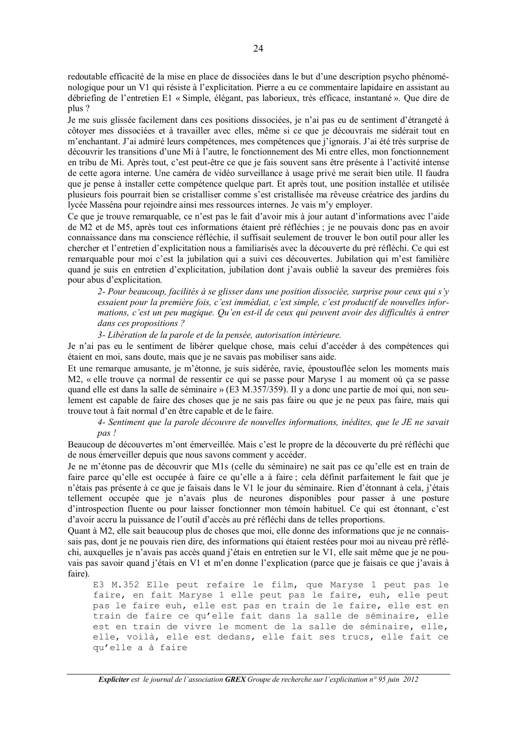redoutable efficacité de la mise en place de dissociées dans le but d'une description psycho phénoménologique pour un V1 qui résiste à l'explicitation. Pierre a eu ce commentaire lapidaire en assistant au débriefing de l'entretien E1 « Simple, élégant, pas laborieux, très efficace, instantané ». Que dire de plus ?

Je me suis glissée facilement dans ces positions dissociées, je n'ai pas eu de sentiment d'étrangeté à côtover mes dissociées et à travailler avec elles, même si ce que je découvrais me sidérait tout en m'enchantant. J'ai admiré leurs compétences, mes compétences que j'ignorais. J'ai été très surprise de découvrir les transitions d'une Mi à l'autre, le fonctionnement des Mi entre elles, mon fonctionnement en tribu de Mi. Après tout, c'est peut-être ce que je fais souvent sans être présente à l'activité intense de cette agora interne. Une caméra de vidéo surveillance à usage privé me serait bien utile. Il faudra que je pense à installer cette compétence quelque part. Et après tout, une position installée et utilisée plusieurs fois pourrait bien se cristalliser comme s'est cristallisée ma rêveuse créatrice des jardins du lycée Masséna pour rejoindre ainsi mes ressources internes. Je vais m'y employer.

Ce que je trouve remarquable, ce n'est pas le fait d'avoir mis à jour autant d'informations avec l'aide de M2 et de M5, après tout ces informations étaient pré réfléchies ; je ne pouvais donc pas en avoir connaissance dans ma conscience réfléchie, il suffisait seulement de trouver le bon outil pour aller les chercher et l'entretien d'explicitation nous a familiarisés avec la découverte du pré réfléchi. Ce qui est remarquable pour moi c'est la jubilation qui a suivi ces découvertes. Jubilation qui m'est familière quand je suis en entretien d'explicitation, jubilation dont j'avais oublié la saveur des premières fois pour abus d'explicitation.

2- Pour beaucoup, facilités à se glisser dans une position dissociée, surprise pour ceux qui s'y essaient pour la première fois, c'est immédiat, c'est simple, c'est productif de nouvelles informations, c'est un peu magique. Qu'en est-il de ceux qui peuvent avoir des difficultés à entrer dans ces propositions?

3- Libération de la parole et de la pensée, autorisation intérieure.

Je n'ai pas eu le sentiment de libérer quelque chose, mais celui d'accéder à des compétences qui étaient en moi, sans doute, mais que je ne savais pas mobiliser sans aide.

Et une remarque amusante, je m'étonne, je suis sidérée, ravie, époustouflée selon les moments mais M2, « elle trouve ça normal de ressentir ce qui se passe pour Maryse 1 au moment où ça se passe quand elle est dans la salle de séminaire » (E3 M.357/359). Il y a donc une partie de moi qui, non seulement est capable de faire des choses que je ne sais pas faire ou que je ne peux pas faire, mais qui trouve tout à fait normal d'en être capable et de le faire.

4- Sentiment que la parole découvre de nouvelles informations, inédites, que le JE ne savait pas!

Beaucoup de découvertes m'ont émerveillée. Mais c'est le propre de la découverte du pré réfléchi que de nous émerveiller depuis que nous savons comment y accéder.

Je ne m'étonne pas de découvrir que M1s (celle du séminaire) ne sait pas ce qu'elle est en train de faire parce qu'elle est occupée à faire ce qu'elle a à faire ; cela définit parfaitement le fait que je n'étais pas présente à ce que je faisais dans le V1 le jour du séminaire. Rien d'étonnant à cela, j'étais tellement occupée que je n'avais plus de neurones disponibles pour passer à une posture d'introspection fluente ou pour laisser fonctionner mon témoin habituel. Ce qui est étonnant, c'est d'avoir accru la puissance de l'outil d'accès au pré réfléchi dans de telles proportions.

Quant à M2, elle sait beaucoup plus de choses que moi, elle donne des informations que je ne connaissais pas, dont je ne pouvais rien dire, des informations qui étaient restées pour moi au niveau pré réfléchi, auxquelles je n'avais pas accès quand j'étais en entretien sur le V1, elle sait même que je ne pouvais pas savoir quand j'étais en V1 et m'en donne l'explication (parce que je faisais ce que j'avais à faire).

E3 M.352 Elle peut refaire le film, que Maryse 1 peut pas le faire, en fait Maryse 1 elle peut pas le faire, euh, elle peut pas le faire euh, elle est pas en train de le faire, elle est en train de faire ce qu'elle fait dans la salle de séminaire, elle est en train de vivre le moment de la salle de séminaire, elle, elle, voilà, elle est dedans, elle fait ses trucs, elle fait ce qu'elle a à faire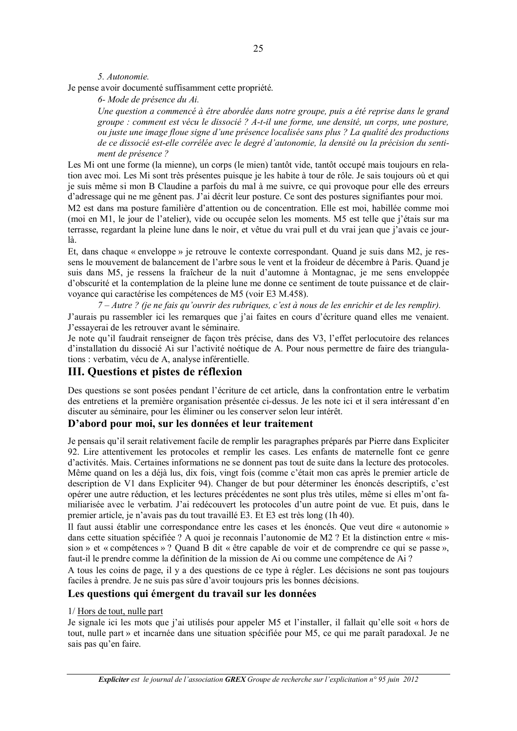5. Autonomie.

Je pense avoir documenté suffisamment cette propriété.

6- Mode de présence du Ai.

Une question a commencé à être abordée dans notre groupe, puis a été reprise dans le grand groupe : comment est vécu le dissocié ? A-t-il une forme, une densité, un corps, une posture, ou juste une image floue signe d'une présence localisée sans plus ? La qualité des productions de ce dissocié est-elle corrélée avec le degré d'autonomie, la densité ou la précision du sentiment de présence ?

Les Mi ont une forme (la mienne), un corps (le mien) tantôt vide, tantôt occupé mais toujours en relation avec moi. Les Mi sont très présentes puisque je les habite à tour de rôle. Je sais toujours où et qui je suis même si mon B Claudine a parfois du mal à me suivre, ce qui provoque pour elle des erreurs d'adressage qui ne me gênent pas. J'ai décrit leur posture. Ce sont des postures signifiantes pour moi.

M2 est dans ma posture familière d'attention ou de concentration. Elle est moi, habillée comme moi (moi en M1, le jour de l'atelier), vide ou occupée selon les moments. M5 est telle que j'étais sur ma terrasse, regardant la pleine lune dans le noir, et vêtue du vrai pull et du vrai jean que j'avais ce jourlà.

Et, dans chaque « enveloppe » je retrouve le contexte correspondant. Quand je suis dans M2, je ressens le mouvement de balancement de l'arbre sous le vent et la froideur de décembre à Paris. Quand je suis dans M5, je ressens la fraîcheur de la nuit d'automne à Montagnac, je me sens enveloppée d'obscurité et la contemplation de la pleine lune me donne ce sentiment de toute puissance et de clairvoyance qui caractérise les compétences de M5 (voir E3 M.458).

 $7 - Autre$  ? (je ne fais qu'ouvrir des rubriques, c'est à nous de les enrichir et de les remplir).

J'aurais pu rassembler ici les remarques que j'ai faites en cours d'écriture quand elles me venaient. J'essayerai de les retrouver avant le séminaire.

Je note qu'il faudrait renseigner de facon très précise, dans des V3, l'effet perlocutoire des relances d'installation du dissocié Ai sur l'activité noétique de A. Pour nous permettre de faire des triangulations : verbatim, vécu de A, analyse inférentielle.

#### III. Questions et pistes de réflexion

Des questions se sont posées pendant l'écriture de cet article, dans la confrontation entre le verbatim des entretiens et la première organisation présentée ci-dessus. Je les note ici et il sera intéressant d'en discuter au séminaire, pour les éliminer ou les conserver selon leur intérêt.

#### D'abord pour moi, sur les données et leur traitement

Je pensais qu'il serait relativement facile de remplir les paragraphes préparés par Pierre dans Expliciter 92. Lire attentivement les protocoles et remplir les cases. Les enfants de maternelle font ce genre d'activités. Mais. Certaines informations ne se donnent pas tout de suite dans la lecture des protocoles. Même quand on les a déjà lus, dix fois, vingt fois (comme c'était mon cas après le premier article de description de V1 dans Expliciter 94). Changer de but pour déterminer les énoncés descriptifs, c'est opérer une autre réduction, et les lectures précédentes ne sont plus très utiles, même si elles m'ont familiarisée avec le verbatim. J'ai redécouvert les protocoles d'un autre point de vue. Et puis, dans le premier article, je n'avais pas du tout travaillé E3. Et E3 est très long (1h 40).

Il faut aussi établir une correspondance entre les cases et les énoncés. Que veut dire « autonomie » dans cette situation spécifiée ? A quoi je reconnais l'autonomie de M2 ? Et la distinction entre « mission » et « compétences » ? Quand B dit « être capable de voir et de comprendre ce qui se passe », faut-il le prendre comme la définition de la mission de Ai ou comme une compétence de Ai ?

A tous les coins de page, il y a des questions de ce type à régler. Les décisions ne sont pas toujours faciles à prendre. Je ne suis pas sûre d'avoir toujours pris les bonnes décisions.

#### Les questions qui émergent du travail sur les données

#### 1/ Hors de tout, nulle part

Je signale ici les mots que j'ai utilisés pour appeler M5 et l'installer, il fallait qu'elle soit « hors de tout, nulle part » et incarnée dans une situation spécifiée pour M5, ce qui me paraît paradoxal. Je ne sais pas qu'en faire.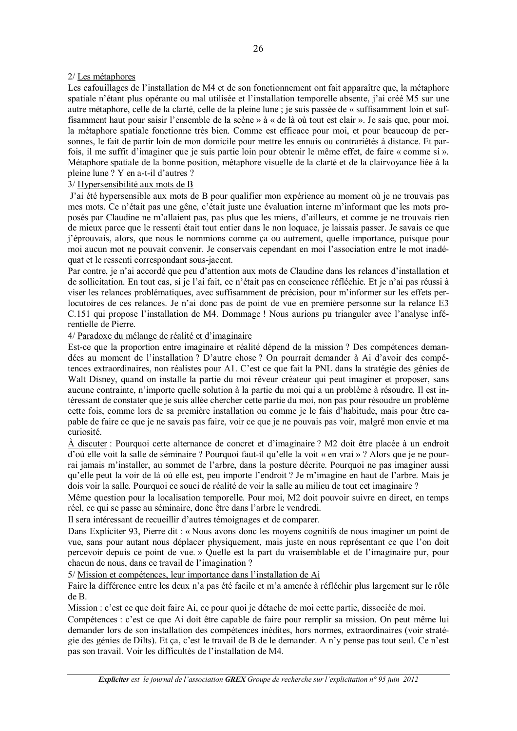#### 2/ Les métaphores

Les cafouillages de l'installation de M4 et de son fonctionnement ont fait apparaître que, la métaphore spatiale n'étant plus opérante ou mal utilisée et l'installation temporelle absente, j'ai créé M5 sur une autre métaphore, celle de la clarté, celle de la pleine lune ; je suis passée de « suffisamment loin et suffisamment haut pour saisir l'ensemble de la scène » à « de là où tout est clair ». Je sais que, pour moi, la métaphore spatiale fonctionne très bien. Comme est efficace pour moi, et pour beaucoup de personnes. le fait de partir loin de mon domicile pour mettre les ennuis ou contrariétés à distance. Et parfois, il me suffit d'imaginer que je suis partie loin pour obtenir le même effet, de faire « comme si ». Métaphore spatiale de la bonne position, métaphore visuelle de la clarté et de la clairvoyance liée à la pleine lune? Y en a-t-il d'autres?

#### 3/Hypersensibilité aux mots de B

J'ai été hypersensible aux mots de B pour qualifier mon expérience au moment où je ne trouvais pas mes mots. Ce n'était pas une gêne, c'était juste une évaluation interne m'informant que les mots proposés par Claudine ne m'allaient pas, pas plus que les miens, d'ailleurs, et comme je ne trouvais rien de mieux parce que le ressenti était tout entier dans le non loquace, je laissais passer. Je savais ce que *i'éprouvais, alors, que nous le nommions comme ca ou autrement, quelle importance, puisque pour* moi aucun mot ne pouvait convenir. Je conservais cependant en moi l'association entre le mot inadéquat et le ressenti correspondant sous-jacent.

Par contre, je n'ai accordé que peu d'attention aux mots de Claudine dans les relances d'installation et de sollicitation. En tout cas, si je l'ai fait, ce n'était pas en conscience réfléchie. Et je n'ai pas réussi à viser les relances problématiques, avec suffisamment de précision, pour m'informer sur les effets perlocutoires de ces relances. Je n'ai donc pas de point de vue en première personne sur la relance E3 C.151 qui propose l'installation de M4. Dommage ! Nous aurions pu trianguler avec l'analyse inférentielle de Pierre.

#### 4/ Paradoxe du mélange de réalité et d'imaginaire

Est-ce que la proportion entre imaginaire et réalité dépend de la mission ? Des compétences demandées au moment de l'installation ? D'autre chose ? On pourrait demander à Ai d'avoir des compétences extraordinaires, non réalistes pour A1. C'est ce que fait la PNL dans la stratégie des génies de Walt Disney, quand on installe la partie du moi rêveur créateur qui peut imaginer et proposer, sans aucune contrainte, n'importe quelle solution à la partie du moi qui a un problème à résoudre. Il est intéressant de constater que je suis allée chercher cette partie du moi, non pas pour résoudre un problème cette fois, comme lors de sa première installation ou comme je le fais d'habitude, mais pour être capable de faire ce que je ne savais pas faire, voir ce que je ne pouvais pas voir, malgré mon envie et ma curiosité.

À discuter : Pourquoi cette alternance de concret et d'imaginaire ? M2 doit être placée à un endroit d'où elle voit la salle de séminaire ? Pourquoi faut-il qu'elle la voit « en vrai » ? Alors que je ne pourrai jamais m'installer, au sommet de l'arbre, dans la posture décrite. Pourquoi ne pas imaginer aussi qu'elle peut la voir de là où elle est, peu importe l'endroit ? Je m'imagine en haut de l'arbre. Mais je dois voir la salle. Pourquoi ce souci de réalité de voir la salle au milieu de tout cet imaginaire ?

Même question pour la localisation temporelle. Pour moi, M2 doit pouvoir suivre en direct, en temps réel, ce qui se passe au séminaire, donc être dans l'arbre le vendredi.

Il sera intéressant de recueillir d'autres témoignages et de comparer.

Dans Expliciter 93, Pierre dit : « Nous avons donc les moyens cognitifs de nous imaginer un point de vue, sans pour autant nous déplacer physiquement, mais juste en nous représentant ce que l'on doit percevoir depuis ce point de vue. » Quelle est la part du vraisemblable et de l'imaginaire pur, pour chacun de nous, dans ce travail de l'imagination ?

5/ Mission et compétences, leur importance dans l'installation de Ai

Faire la différence entre les deux n'a pas été facile et m'a amenée à réfléchir plus largement sur le rôle de B.

Mission : c'est ce que doit faire Ai, ce pour quoi je détache de moi cette partie, dissociée de moi.

Compétences : c'est ce que Ai doit être capable de faire pour remplir sa mission. On peut même lui demander lors de son installation des compétences inédites, hors normes, extraordinaires (voir stratégie des génies de Dilts). Et ça, c'est le travail de B de le demander. A n'y pense pas tout seul. Ce n'est pas son travail. Voir les difficultés de l'installation de M4.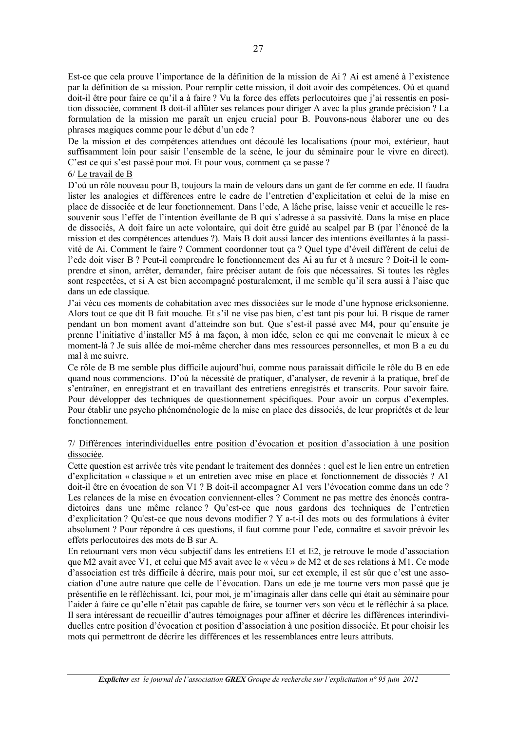Est-ce que cela prouve l'importance de la définition de la mission de Ai ? Ai est amené à l'existence par la définition de sa mission. Pour remplir cette mission, il doit avoir des compétences. Où et quand doit-il être pour faire ce qu'il a à faire ? Vu la force des effets perlocutoires que j'ai ressentis en position dissociée, comment B doit-il affûter ses relances pour diriger A avec la plus grande précision ? La formulation de la mission me paraît un enjeu crucial pour B. Pouvons-nous élaborer une ou des phrases magiques comme pour le début d'un ede?

De la mission et des compétences attendues ont découlé les localisations (pour moi, extérieur, haut suffisamment loin pour saisir l'ensemble de la scène, le jour du séminaire pour le vivre en direct). C'est ce qui s'est passé pour moi. Et pour vous, comment ca se passe ?

#### $6/$  Le travail de B

D'où un rôle nouveau pour B, toujours la main de velours dans un gant de fer comme en ede. Il faudra lister les analogies et différences entre le cadre de l'entretien d'explicitation et celui de la mise en place de dissociée et de leur fonctionnement. Dans l'ede, A lâche prise, laisse venir et accueille le ressouvenir sous l'effet de l'intention éveillante de B qui s'adresse à sa passivité. Dans la mise en place de dissociés, A doit faire un acte volontaire, qui doit être guidé au scalpel par B (par l'énoncé de la mission et des compétences attendues ?). Mais B doit aussi lancer des intentions éveillantes à la passivité de Ai. Comment le faire ? Comment coordonner tout ça ? Quel type d'éveil différent de celui de l'ede doit viser B ? Peut-il comprendre le fonctionnement des Ai au fur et à mesure ? Doit-il le comprendre et sinon, arrêter, demander, faire préciser autant de fois que nécessaires. Si toutes les règles sont respectées, et si A est bien accompagné posturalement, il me semble qu'il sera aussi à l'aise que dans un ede classique.

J'ai vécu ces moments de cohabitation avec mes dissociées sur le mode d'une hypnose ericksonienne. Alors tout ce que dit B fait mouche. Et s'il ne vise pas bien, c'est tant pis pour lui. B risque de ramer pendant un bon moment avant d'atteindre son but. Que s'est-il passé avec M4, pour qu'ensuite je prenne l'initiative d'installer M5 à ma façon, à mon idée, selon ce qui me convenait le mieux à ce moment-là ? Je suis allée de moi-même chercher dans mes ressources personnelles, et mon B a eu du mal à me suivre.

Ce rôle de B me semble plus difficile aujourd'hui, comme nous paraissait difficile le rôle du B en ede quand nous commencions. D'où la nécessité de pratiquer, d'analyser, de revenir à la pratique, bref de s'entraîner, en enregistrant et en travaillant des entretiens enregistrés et transcrits. Pour savoir faire, Pour développer des techniques de questionnement spécifiques. Pour avoir un corpus d'exemples. Pour établir une psycho phénoménologie de la mise en place des dissociés, de leur propriétés et de leur fonctionnement.

#### 7/ Différences interindividuelles entre position d'évocation et position d'association à une position dissociée.

Cette question est arrivée très vite pendant le traitement des données : quel est le lien entre un entretien d'explicitation « classique » et un entretien avec mise en place et fonctionnement de dissociés ? A1 doit-il être en évocation de son V1 ? B doit-il accompagner A1 vers l'évocation comme dans un ede ? Les relances de la mise en évocation conviennent-elles ? Comment ne pas mettre des énoncés contradictoires dans une même relance? Qu'est-ce que nous gardons des techniques de l'entretien d'explicitation ? Ou'est-ce que nous devons modifier ? Y a-t-il des mots ou des formulations à éviter absolument ? Pour répondre à ces questions, il faut comme pour l'ede, connaître et savoir prévoir les effets perlocutoires des mots de B sur A.

En retournant vers mon vécu subjectif dans les entretiens E1 et E2, je retrouve le mode d'association que M2 avait avec V1, et celui que M5 avait avec le « vécu » de M2 et de ses relations à M1. Ce mode d'association est très difficile à décrire, mais pour moi, sur cet exemple, il est sûr que c'est une association d'une autre nature que celle de l'évocation. Dans un ede je me tourne vers mon passé que je présentifie en le réfléchissant. Ici, pour moi, je m'imaginais aller dans celle qui était au séminaire pour l'aider à faire ce qu'elle n'était pas capable de faire, se tourner vers son vécu et le réfléchir à sa place. Il sera intéressant de recueillir d'autres témoignages pour affiner et décrire les différences interindividuelles entre position d'évocation et position d'association à une position dissociée. Et pour choisir les mots qui permettront de décrire les différences et les ressemblances entre leurs attributs.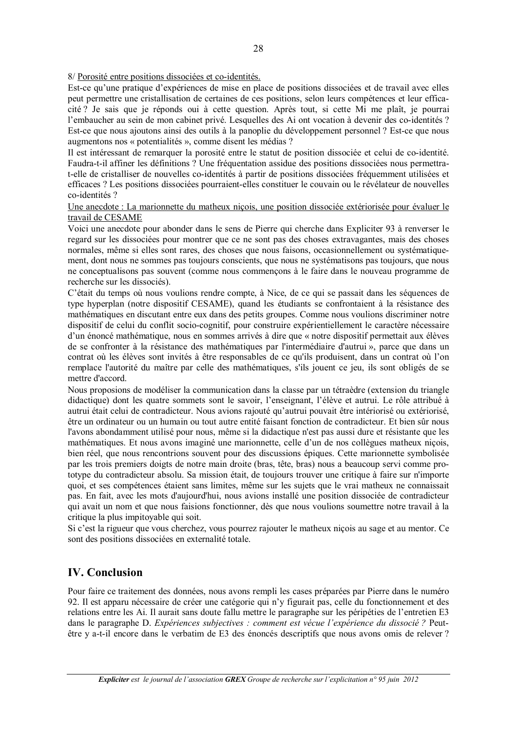8/ Porosité entre positions dissociées et co-identités.

Est-ce qu'une pratique d'expériences de mise en place de positions dissociées et de travail avec elles peut permettre une cristallisation de certaines de ces positions, selon leurs compétences et leur efficacité? Je sais que je réponds oui à cette question. Après tout, si cette Mi me plaît, je pourrai l'embaucher au sein de mon cabinet privé. Lesquelles des Ai ont vocation à devenir des co-identités ? Est-ce que nous ajoutons ainsi des outils à la panoplie du développement personnel ? Est-ce que nous augmentons nos « potentialités », comme disent les médias ?

Il est intéressant de remarquer la porosité entre le statut de position dissociée et celui de co-identité. Faudra-t-il affiner les définitions ? Une fréquentation assidue des positions dissociées nous permettrat-elle de cristalliser de nouvelles co-identités à partir de positions dissociées fréquemment utilisées et efficaces ? Les positions dissociées pourraient-elles constituer le couvain ou le révélateur de nouvelles co-identités ?

Une anecdote : La marionnette du matheux nicois, une position dissociée extériorisée pour évaluer le travail de CESAME

Voici une anecdote pour abonder dans le sens de Pierre qui cherche dans Expliciter 93 à renverser le regard sur les dissociées pour montrer que ce ne sont pas des choses extravagantes, mais des choses normales, même si elles sont rares, des choses que nous faisons, occasionnellement ou systématiquement, dont nous ne sommes pas toujours conscients, que nous ne systématisons pas toujours, que nous ne conceptualisons pas souvent (comme nous commencons à le faire dans le nouveau programme de recherche sur les dissociés).

C'était du temps où nous voulions rendre compte, à Nice, de ce qui se passait dans les séquences de type hyperplan (notre dispositif CESAME), quand les étudiants se confrontaient à la résistance des mathématiques en discutant entre eux dans des petits groupes. Comme nous voulions discriminer notre dispositif de celui du conflit socio-cognitif, pour construire expérientiellement le caractère nécessaire d'un énoncé mathématique, nous en sommes arrivés à dire que « notre dispositif permettait aux élèves de se confronter à la résistance des mathématiques par l'intermédiaire d'autrui », parce que dans un contrat où les élèves sont invités à être responsables de ce qu'ils produisent, dans un contrat où l'on remplace l'autorité du maître par celle des mathématiques, s'ils jouent ce jeu, ils sont obligés de se mettre d'accord.

Nous proposions de modéliser la communication dans la classe par un tétraèdre (extension du triangle didactique) dont les quatre sommets sont le savoir, l'enseignant, l'élève et autrui. Le rôle attribué à autrui était celui de contradicteur. Nous avions rajouté qu'autrui pouvait être intériorisé ou extériorisé, être un ordinateur ou un humain ou tout autre entité faisant fonction de contradicteur. Et bien sûr nous l'avons abondamment utilisé pour nous, même si la didactique n'est pas aussi dure et résistante que les mathématiques. Et nous avons imaginé une marionnette, celle d'un de nos collègues matheux nicois, bien réel, que nous rencontrions souvent pour des discussions épiques. Cette marionnette symbolisée par les trois premiers doigts de notre main droite (bras, tête, bras) nous a beaucoup servi comme prototype du contradicteur absolu. Sa mission était, de toujours trouver une critique à faire sur n'importe quoi, et ses compétences étaient sans limites, même sur les sujets que le vrai matheux ne connaissait pas. En fait, avec les mots d'aujourd'hui, nous avions installé une position dissociée de contradicteur qui avait un nom et que nous faisions fonctionner, dès que nous voulions soumettre notre travail à la critique la plus impitoyable qui soit.

Si c'est la rigueur que vous cherchez, vous pourrez rajouter le matheux niçois au sage et au mentor. Ce sont des positions dissociées en externalité totale.

#### **IV.** Conclusion

Pour faire ce traitement des données, nous avons rempli les cases préparées par Pierre dans le numéro 92. Il est apparu nécessaire de créer une catégorie qui n'y figurait pas, celle du fonctionnement et des relations entre les Ai. Il aurait sans doute fallu mettre le paragraphe sur les péripéties de l'entretien E3 dans le paragraphe D. Expériences subjectives : comment est vécue l'expérience du dissocié ? Peutêtre y a-t-il encore dans le verbatim de E3 des énoncés descriptifs que nous avons omis de relever?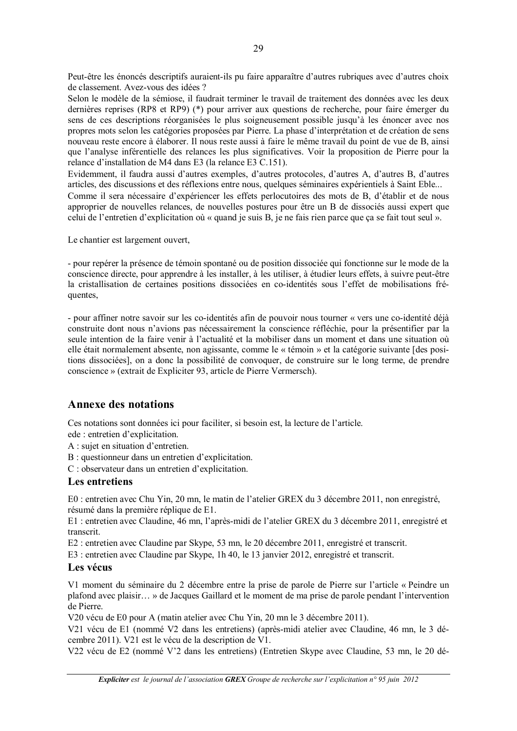Peut-être les énoncés descriptifs auraient-ils pu faire apparaître d'autres rubriques avec d'autres choix de classement. Avez-vous des idées ?

Selon le modèle de la sémiose, il faudrait terminer le travail de traitement des données avec les deux dernières reprises (RP8 et RP9) (\*) pour arriver aux questions de recherche, pour faire émerger du sens de ces descriptions réorganisées le plus soigneusement possible jusqu'à les énoncer avec nos propres mots selon les catégories proposées par Pierre. La phase d'interprétation et de création de sens nouveau reste encore à élaborer. Il nous reste aussi à faire le même travail du point de vue de B, ainsi que l'analyse inférentielle des relances les plus significatives. Voir la proposition de Pierre pour la relance d'installation de M4 dans E3 (la relance E3 C.151).

Evidemment, il faudra aussi d'autres exemples, d'autres protocoles, d'autres A, d'autres B, d'autres articles, des discussions et des réflexions entre nous, quelques séminaires expérientiels à Saint Eble... Comme il sera nécessaire d'expériencer les effets perlocutoires des mots de B, d'établir et de nous approprier de nouvelles relances, de nouvelles postures pour être un B de dissociés aussi expert que celui de l'entretien d'explicitation où « quand je suis B, je ne fais rien parce que ca se fait tout seul ».

Le chantier est largement ouvert,

- pour repérer la présence de témoin spontané ou de position dissociée qui fonctionne sur le mode de la conscience directe, pour apprendre à les installer, à les utiliser, à étudier leurs effets, à suivre peut-être la cristallisation de certaines positions dissociées en co-identités sous l'effet de mobilisations fréquentes.

- pour affiner notre savoir sur les co-identités afin de pouvoir nous tourner « vers une co-identité déjà construite dont nous n'avions pas nécessairement la conscience réfléchie, pour la présentifier par la seule intention de la faire venir à l'actualité et la mobiliser dans un moment et dans une situation où elle était normalement absente, non agissante, comme le « témoin » et la catégorie suivante [des positions dissociées], on a donc la possibilité de convoquer, de construire sur le long terme, de prendre conscience » (extrait de Expliciter 93, article de Pierre Vermersch).

#### **Annexe des notations**

Ces notations sont données ici pour faciliter, si besoin est, la lecture de l'article.

ede : entretien d'explicitation.

A : sujet en situation d'entretien.

B : questionneur dans un entretien d'explicitation.

C: observateur dans un entretien d'explicitation.

#### Les entretiens

E0 : entretien avec Chu Yin, 20 mn, le matin de l'atelier GREX du 3 décembre 2011, non enregistré, résumé dans la première réplique de E1.

E1 : entretien avec Claudine, 46 mn, l'après-midi de l'atelier GREX du 3 décembre 2011, enregistré et transcrit

E2 : entretien avec Claudine par Skype, 53 mn, le 20 décembre 2011, enregistré et transcrit.

E3 : entretien avec Claudine par Skype, 1h 40, le 13 janvier 2012, enregistré et transcrit.

#### Les vécus

V1 moment du séminaire du 2 décembre entre la prise de parole de Pierre sur l'article « Peindre un plafond avec plaisir... » de Jacques Gaillard et le moment de ma prise de parole pendant l'intervention de Pierre.

V20 vécu de E0 pour A (matin atelier avec Chu Yin, 20 mn le 3 décembre 2011).

V21 vécu de E1 (nommé V2 dans les entretiens) (après-midi atelier avec Claudine, 46 mn, le 3 décembre 2011). V21 est le vécu de la description de V1.

V22 vécu de E2 (nommé V'2 dans les entretiens) (Entretien Skype avec Claudine, 53 mn, le 20 dé-